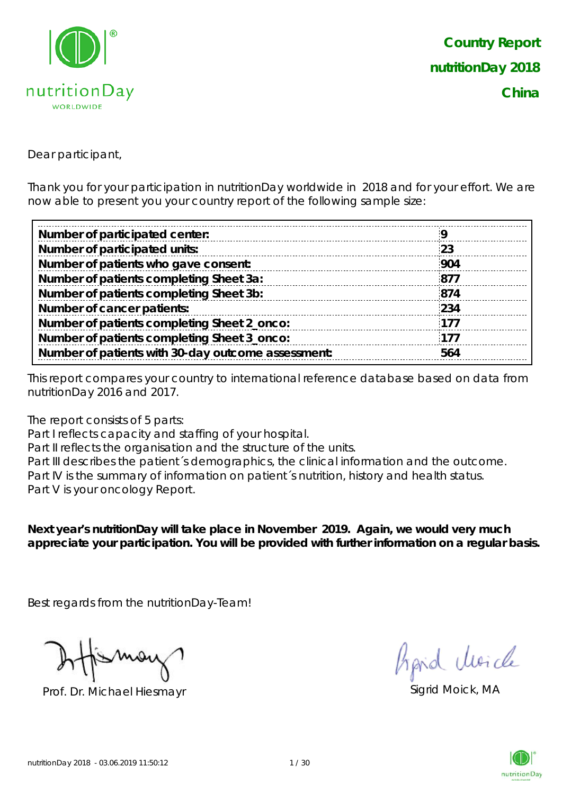

Dear participant,

Thank you for your participation in nutritionDay worldwide in 2018 and for your effort. We are now able to present you your country report of the following sample size:

| Number of participated center:                     |     |
|----------------------------------------------------|-----|
| Number of participated units:                      | 23  |
| Number of patients who gave consent:               | 904 |
| Number of patients completing Sheet 3a:            | 877 |
| Number of patients completing Sheet 3b:            | 874 |
| Number of cancer patients:                         | 234 |
| Number of patients completing Sheet 2_onco:        | 177 |
| Number of patients completing Sheet 3_onco:        | 177 |
| Number of patients with 30-day outcome assessment: | 564 |
|                                                    |     |

This report compares your country to international reference database based on data from nutritionDay 2016 and 2017.

The report consists of 5 parts:

Part I reflects capacity and staffing of your hospital.

Part II reflects the organisation and the structure of the units.

Part III describes the patient's demographics, the clinical information and the outcome. Part IV is the summary of information on patient's nutrition, history and health status. Part V is your oncology Report.

**Next year's nutritionDay will take place in November 2019. Again, we would very much appreciate your participation. You will be provided with further information on a regular basis.**

Best regards from the nutritionDay-Team!

Prof. Dr. Michael Hiesmayr Sigrid Moick, MA

fraid Moich

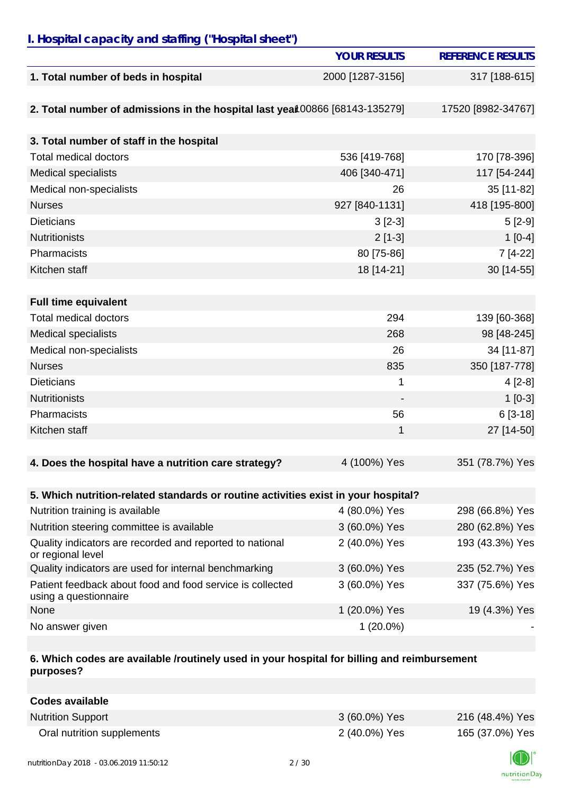# *I. Hospital capacity and staffing ("Hospital sheet")*

|                                                                                    | <b>YOUR RESULTS</b> | <b>REFERENCE RESULTS</b> |
|------------------------------------------------------------------------------------|---------------------|--------------------------|
| 1. Total number of beds in hospital                                                | 2000 [1287-3156]    | 317 [188-615]            |
|                                                                                    |                     |                          |
| 2. Total number of admissions in the hospital last year 00866 [68143-135279]       |                     | 17520 [8982-34767]       |
|                                                                                    |                     |                          |
| 3. Total number of staff in the hospital                                           |                     |                          |
| <b>Total medical doctors</b>                                                       | 536 [419-768]       | 170 [78-396]             |
| <b>Medical specialists</b>                                                         | 406 [340-471]       | 117 [54-244]             |
| Medical non-specialists                                                            | 26                  | 35 [11-82]               |
| <b>Nurses</b>                                                                      | 927 [840-1131]      | 418 [195-800]            |
| <b>Dieticians</b>                                                                  | $3[2-3]$            | $5[2-9]$                 |
| <b>Nutritionists</b>                                                               | $2[1-3]$            | $1[0-4]$                 |
| Pharmacists                                                                        | 80 [75-86]          | 7 [4-22]                 |
| Kitchen staff                                                                      | 18 [14-21]          | 30 [14-55]               |
|                                                                                    |                     |                          |
| <b>Full time equivalent</b>                                                        |                     |                          |
| <b>Total medical doctors</b>                                                       | 294                 | 139 [60-368]             |
| <b>Medical specialists</b>                                                         | 268                 | 98 [48-245]              |
| Medical non-specialists                                                            | 26                  | 34 [11-87]               |
| <b>Nurses</b>                                                                      | 835                 | 350 [187-778]            |
| <b>Dieticians</b>                                                                  | 1                   | $4[2-8]$                 |
| <b>Nutritionists</b>                                                               | $\overline{a}$      | $1[0-3]$                 |
| Pharmacists                                                                        | 56                  | $6[3-18]$                |
| Kitchen staff                                                                      | 1                   | 27 [14-50]               |
|                                                                                    |                     |                          |
| 4. Does the hospital have a nutrition care strategy?                               | 4 (100%) Yes        | 351 (78.7%) Yes          |
|                                                                                    |                     |                          |
| 5. Which nutrition-related standards or routine activities exist in your hospital? |                     |                          |
| Nutrition training is available                                                    | 4 (80.0%) Yes       | 298 (66.8%) Yes          |
| Nutrition steering committee is available                                          | 3 (60.0%) Yes       | 280 (62.8%) Yes          |
| Quality indicators are recorded and reported to national<br>or regional level      | 2 (40.0%) Yes       | 193 (43.3%) Yes          |
| Quality indicators are used for internal benchmarking                              | 3 (60.0%) Yes       | 235 (52.7%) Yes          |
| Patient feedback about food and food service is collected<br>using a questionnaire | 3 (60.0%) Yes       | 337 (75.6%) Yes          |
| None                                                                               | 1 (20.0%) Yes       | 19 (4.3%) Yes            |
| No answer given                                                                    | $1(20.0\%)$         |                          |

#### **6. Which codes are available /routinely used in your hospital for billing and reimbursement purposes?**

| Codes available            |               |                 |
|----------------------------|---------------|-----------------|
| <b>Nutrition Support</b>   | 3 (60.0%) Yes | 216 (48.4%) Yes |
| Oral nutrition supplements | 2 (40.0%) Yes | 165 (37.0%) Yes |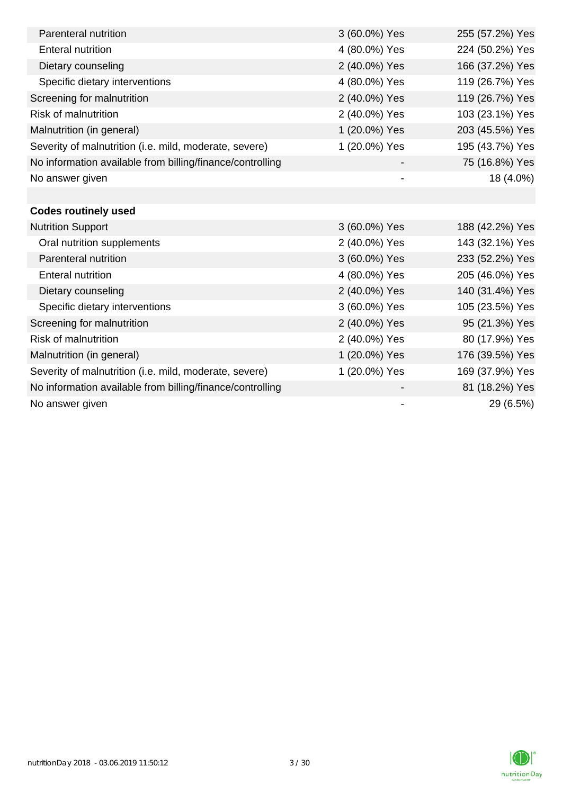| Parenteral nutrition                                      | 3 (60.0%) Yes            | 255 (57.2%) Yes |
|-----------------------------------------------------------|--------------------------|-----------------|
| <b>Enteral nutrition</b>                                  | 4 (80.0%) Yes            | 224 (50.2%) Yes |
| Dietary counseling                                        | 2 (40.0%) Yes            | 166 (37.2%) Yes |
| Specific dietary interventions                            | 4 (80.0%) Yes            | 119 (26.7%) Yes |
| Screening for malnutrition                                | 2 (40.0%) Yes            | 119 (26.7%) Yes |
| <b>Risk of malnutrition</b>                               | 2 (40.0%) Yes            | 103 (23.1%) Yes |
| Malnutrition (in general)                                 | 1 (20.0%) Yes            | 203 (45.5%) Yes |
| Severity of malnutrition (i.e. mild, moderate, severe)    | 1 (20.0%) Yes            | 195 (43.7%) Yes |
| No information available from billing/finance/controlling |                          | 75 (16.8%) Yes  |
| No answer given                                           | $\overline{\phantom{a}}$ | 18 (4.0%)       |
|                                                           |                          |                 |
| <b>Codes routinely used</b>                               |                          |                 |
| <b>Nutrition Support</b>                                  | 3 (60.0%) Yes            | 188 (42.2%) Yes |
| Oral nutrition supplements                                | 2 (40.0%) Yes            | 143 (32.1%) Yes |
| Parenteral nutrition                                      | 3 (60.0%) Yes            | 233 (52.2%) Yes |
| <b>Enteral nutrition</b>                                  | 4 (80.0%) Yes            | 205 (46.0%) Yes |
| Dietary counseling                                        | 2 (40.0%) Yes            | 140 (31.4%) Yes |
| Specific dietary interventions                            | 3 (60.0%) Yes            | 105 (23.5%) Yes |
| Screening for malnutrition                                | 2 (40.0%) Yes            | 95 (21.3%) Yes  |
| <b>Risk of malnutrition</b>                               | 2 (40.0%) Yes            | 80 (17.9%) Yes  |
| Malnutrition (in general)                                 | 1 (20.0%) Yes            | 176 (39.5%) Yes |
| Severity of malnutrition (i.e. mild, moderate, severe)    | 1 (20.0%) Yes            | 169 (37.9%) Yes |
| No information available from billing/finance/controlling |                          | 81 (18.2%) Yes  |
| No answer given                                           |                          | 29 (6.5%)       |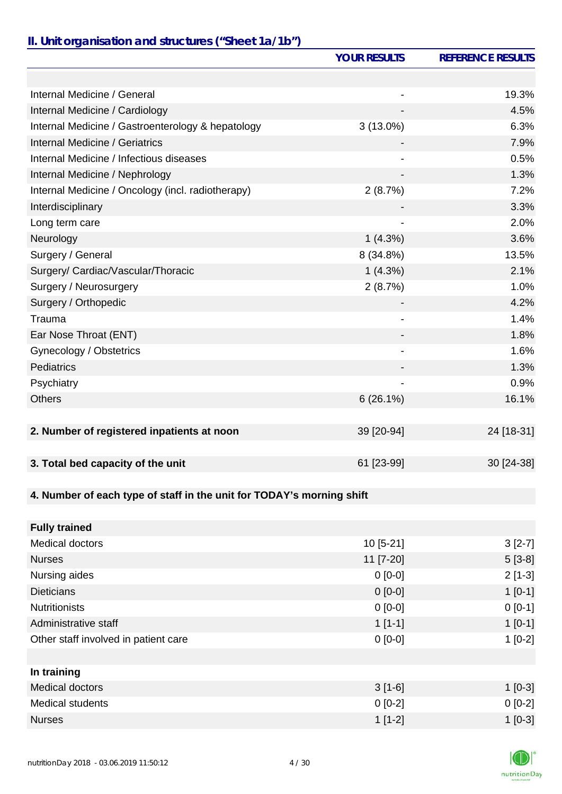## *II. Unit organisation and structures ("Sheet 1a/1b")*

|                                                                       | <b>YOUR RESULTS</b>          | <b>REFERENCE RESULTS</b> |
|-----------------------------------------------------------------------|------------------------------|--------------------------|
|                                                                       |                              |                          |
| Internal Medicine / General                                           |                              | 19.3%                    |
| Internal Medicine / Cardiology                                        |                              | 4.5%                     |
| Internal Medicine / Gastroenterology & hepatology                     | $3(13.0\%)$                  | 6.3%                     |
| Internal Medicine / Geriatrics                                        |                              | 7.9%                     |
| Internal Medicine / Infectious diseases                               |                              | 0.5%                     |
| Internal Medicine / Nephrology                                        |                              | 1.3%                     |
| Internal Medicine / Oncology (incl. radiotherapy)                     | 2(8.7%)                      | 7.2%                     |
| Interdisciplinary                                                     |                              | 3.3%                     |
| Long term care                                                        | $\qquad \qquad \blacksquare$ | 2.0%                     |
| Neurology                                                             | 1(4.3%)                      | 3.6%                     |
| Surgery / General                                                     | 8 (34.8%)                    | 13.5%                    |
| Surgery/ Cardiac/Vascular/Thoracic                                    | $1(4.3\%)$                   | 2.1%                     |
| Surgery / Neurosurgery                                                | 2(8.7%)                      | 1.0%                     |
| Surgery / Orthopedic                                                  |                              | 4.2%                     |
| Trauma                                                                | $\overline{\phantom{a}}$     | 1.4%                     |
| Ear Nose Throat (ENT)                                                 | -                            | 1.8%                     |
| Gynecology / Obstetrics                                               |                              | 1.6%                     |
| Pediatrics                                                            |                              | 1.3%                     |
| Psychiatry                                                            |                              | 0.9%                     |
| <b>Others</b>                                                         | $6(26.1\%)$                  | 16.1%                    |
|                                                                       |                              |                          |
| 2. Number of registered inpatients at noon                            | 39 [20-94]                   | 24 [18-31]               |
|                                                                       |                              |                          |
| 3. Total bed capacity of the unit                                     | 61 [23-99]                   | 30 [24-38]               |
|                                                                       |                              |                          |
| 4. Number of each type of staff in the unit for TODAY's morning shift |                              |                          |
|                                                                       |                              |                          |
| <b>Fully trained</b>                                                  |                              |                          |
| <b>Medical doctors</b>                                                | 10 [5-21]                    | $3[2-7]$                 |
| <b>Nurses</b>                                                         | 11 [7-20]                    | $5[3-8]$                 |
| Nursing aides                                                         | $0[0-0]$                     | $2[1-3]$                 |
| <b>Dieticians</b>                                                     | $0[0-0]$                     | $1 [0-1]$                |
| <b>Nutritionists</b>                                                  | $0 [0-0]$                    | $0 [0-1]$                |
| Administrative staff                                                  | $1[1-1]$                     | $1 [0-1]$                |
| Other staff involved in patient care                                  | $0[0-0]$                     | $1[0-2]$                 |
|                                                                       |                              |                          |
| In training                                                           |                              |                          |
| <b>Medical doctors</b>                                                | $3[1-6]$                     | $1$ [0-3]                |
| <b>Medical students</b>                                               | $0 [0-2]$                    | $0[0-2]$                 |
| <b>Nurses</b>                                                         | $1[1-2]$                     | $1 [0-3]$                |

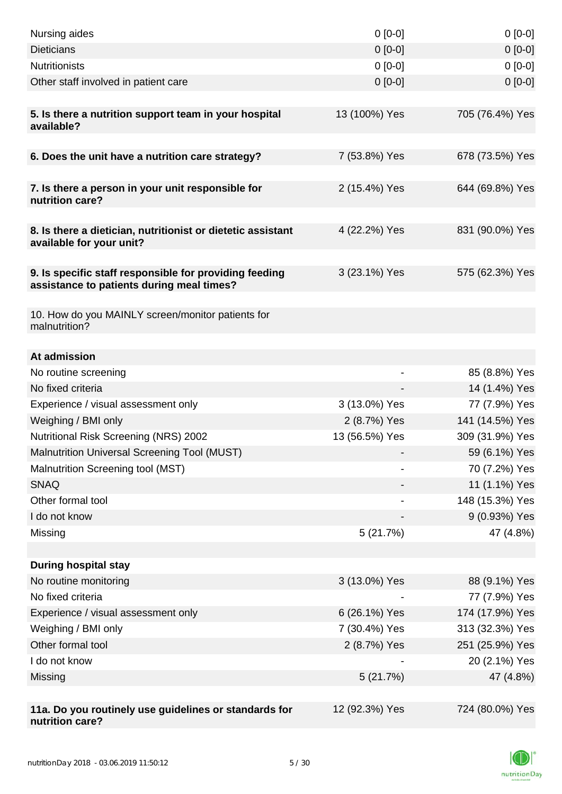| Nursing aides                                                                                       | $0[0-0]$       | $0[0-0]$        |
|-----------------------------------------------------------------------------------------------------|----------------|-----------------|
| <b>Dieticians</b>                                                                                   | $0 [0-0]$      | $0 [0-0]$       |
| <b>Nutritionists</b>                                                                                | $0 [0-0]$      | $0[0-0]$        |
| Other staff involved in patient care                                                                | $0 [0-0]$      | $0[0-0]$        |
|                                                                                                     |                |                 |
| 5. Is there a nutrition support team in your hospital<br>available?                                 | 13 (100%) Yes  | 705 (76.4%) Yes |
|                                                                                                     |                |                 |
| 6. Does the unit have a nutrition care strategy?                                                    | 7 (53.8%) Yes  | 678 (73.5%) Yes |
| 7. Is there a person in your unit responsible for<br>nutrition care?                                | 2 (15.4%) Yes  | 644 (69.8%) Yes |
| 8. Is there a dietician, nutritionist or dietetic assistant<br>available for your unit?             | 4 (22.2%) Yes  | 831 (90.0%) Yes |
| 9. Is specific staff responsible for providing feeding<br>assistance to patients during meal times? | 3 (23.1%) Yes  | 575 (62.3%) Yes |
| 10. How do you MAINLY screen/monitor patients for<br>malnutrition?                                  |                |                 |
| At admission                                                                                        |                |                 |
| No routine screening                                                                                |                | 85 (8.8%) Yes   |
| No fixed criteria                                                                                   |                | 14 (1.4%) Yes   |
| Experience / visual assessment only                                                                 | 3 (13.0%) Yes  | 77 (7.9%) Yes   |
| Weighing / BMI only                                                                                 | 2 (8.7%) Yes   | 141 (14.5%) Yes |
| Nutritional Risk Screening (NRS) 2002                                                               | 13 (56.5%) Yes | 309 (31.9%) Yes |
| Malnutrition Universal Screening Tool (MUST)                                                        |                | 59 (6.1%) Yes   |
| Malnutrition Screening tool (MST)                                                                   |                | 70 (7.2%) Yes   |
| <b>SNAQ</b>                                                                                         |                | 11 (1.1%) Yes   |
| Other formal tool                                                                                   |                | 148 (15.3%) Yes |
| I do not know                                                                                       |                | 9 (0.93%) Yes   |
| Missing                                                                                             | 5(21.7%)       | 47 (4.8%)       |
|                                                                                                     |                |                 |
| <b>During hospital stay</b>                                                                         |                |                 |
| No routine monitoring                                                                               | 3 (13.0%) Yes  | 88 (9.1%) Yes   |
| No fixed criteria                                                                                   |                | 77 (7.9%) Yes   |
| Experience / visual assessment only                                                                 | 6 (26.1%) Yes  | 174 (17.9%) Yes |
| Weighing / BMI only                                                                                 | 7 (30.4%) Yes  | 313 (32.3%) Yes |
| Other formal tool                                                                                   | 2 (8.7%) Yes   | 251 (25.9%) Yes |
| I do not know                                                                                       |                | 20 (2.1%) Yes   |
| Missing                                                                                             | 5(21.7%)       | 47 (4.8%)       |
|                                                                                                     |                |                 |
| 11a. Do you routinely use guidelines or standards for<br>nutrition care?                            | 12 (92.3%) Yes | 724 (80.0%) Yes |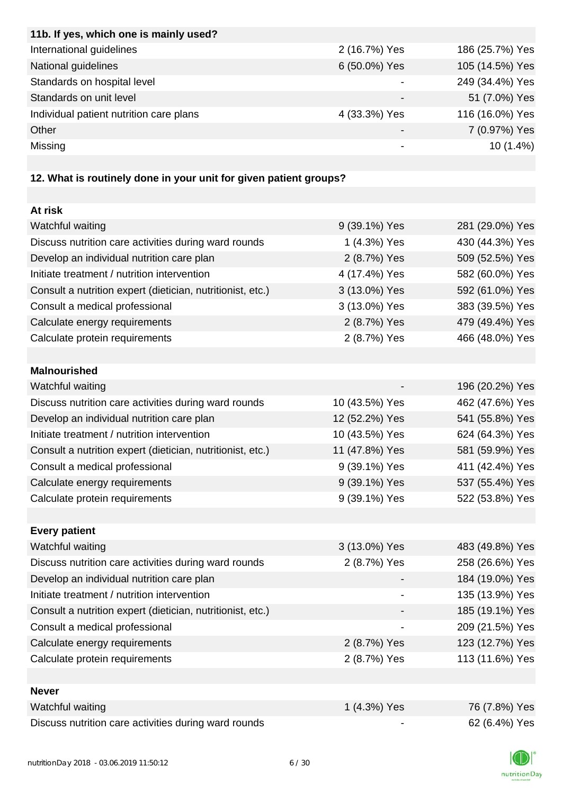| 11b. If yes, which one is mainly used?                            |               |                 |
|-------------------------------------------------------------------|---------------|-----------------|
| International guidelines                                          | 2 (16.7%) Yes | 186 (25.7%) Yes |
| National guidelines                                               | 6 (50.0%) Yes | 105 (14.5%) Yes |
| Standards on hospital level                                       |               | 249 (34.4%) Yes |
| Standards on unit level                                           |               | 51 (7.0%) Yes   |
| Individual patient nutrition care plans                           | 4 (33.3%) Yes | 116 (16.0%) Yes |
| Other                                                             |               | 7 (0.97%) Yes   |
| Missing                                                           |               | $10(1.4\%)$     |
|                                                                   |               |                 |
| 12. What is routinely done in your unit for given patient groups? |               |                 |
|                                                                   |               |                 |
| At risk                                                           |               |                 |
| Watchful waiting                                                  | 9 (39.1%) Yes | 281 (29.0%) Yes |
| Discuss nutrition care activities during ward rounds              | 1 (4.3%) Yes  | 430 (44.3%) Yes |
| Develop an individual nutrition care plan                         | 2 (8.7%) Yes  | 509 (52.5%) Yes |

| Initiate treatment / nutrition intervention                | 4 (17.4%) Yes | 582 (60.0%) Yes |
|------------------------------------------------------------|---------------|-----------------|
| Consult a nutrition expert (dietician, nutritionist, etc.) | 3 (13.0%) Yes | 592 (61.0%) Yes |
| Consult a medical professional                             | 3 (13.0%) Yes | 383 (39.5%) Yes |
| Calculate energy requirements                              | 2 (8.7%) Yes  | 479 (49.4%) Yes |
| Calculate protein requirements                             | 2 (8.7%) Yes  | 466 (48.0%) Yes |
|                                                            |               |                 |

| <b>Malnourished</b>                                        |                |                 |
|------------------------------------------------------------|----------------|-----------------|
| Watchful waiting                                           |                | 196 (20.2%) Yes |
| Discuss nutrition care activities during ward rounds       | 10 (43.5%) Yes | 462 (47.6%) Yes |
| Develop an individual nutrition care plan                  | 12 (52.2%) Yes | 541 (55.8%) Yes |
| Initiate treatment / nutrition intervention                | 10 (43.5%) Yes | 624 (64.3%) Yes |
| Consult a nutrition expert (dietician, nutritionist, etc.) | 11 (47.8%) Yes | 581 (59.9%) Yes |
| Consult a medical professional                             | 9 (39.1%) Yes  | 411 (42.4%) Yes |
| Calculate energy requirements                              | 9 (39.1%) Yes  | 537 (55.4%) Yes |
| Calculate protein requirements                             | 9 (39.1%) Yes  | 522 (53.8%) Yes |

| <b>Every patient</b>                                       |               |                 |
|------------------------------------------------------------|---------------|-----------------|
| Watchful waiting                                           | 3 (13.0%) Yes | 483 (49.8%) Yes |
| Discuss nutrition care activities during ward rounds       | 2 (8.7%) Yes  | 258 (26.6%) Yes |
| Develop an individual nutrition care plan                  |               | 184 (19.0%) Yes |
| Initiate treatment / nutrition intervention                |               | 135 (13.9%) Yes |
| Consult a nutrition expert (dietician, nutritionist, etc.) |               | 185 (19.1%) Yes |
| Consult a medical professional                             |               | 209 (21.5%) Yes |
| Calculate energy requirements                              | 2 (8.7%) Yes  | 123 (12.7%) Yes |
| Calculate protein requirements                             | 2 (8.7%) Yes  | 113 (11.6%) Yes |
|                                                            |               |                 |
| <b>Never</b>                                               |               |                 |

| Watchful waiting                                     | $(4.3\%)$ Yes            | 76 (7.8%) Yes |
|------------------------------------------------------|--------------------------|---------------|
| Discuss nutrition care activities during ward rounds | $\overline{\phantom{0}}$ | 62 (6.4%) Yes |

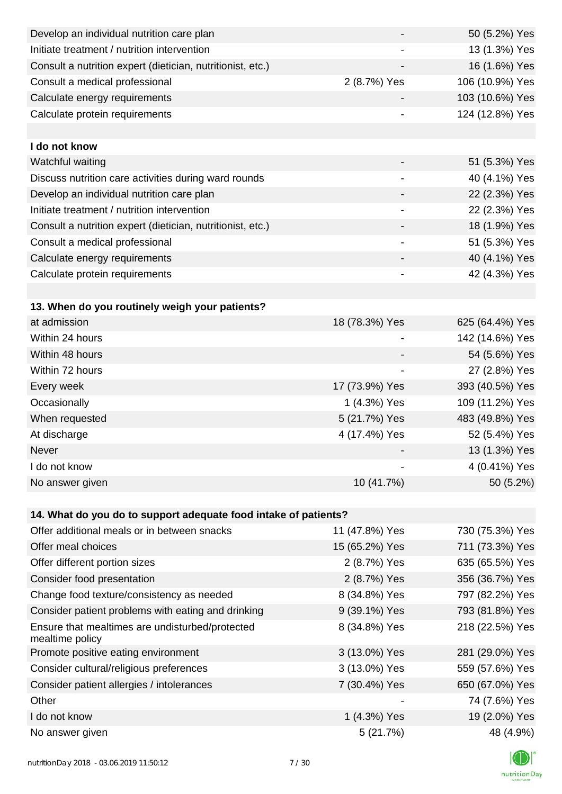| Develop an individual nutrition care plan                          |                          | 50 (5.2%) Yes   |
|--------------------------------------------------------------------|--------------------------|-----------------|
| Initiate treatment / nutrition intervention                        |                          | 13 (1.3%) Yes   |
| Consult a nutrition expert (dietician, nutritionist, etc.)         |                          | 16 (1.6%) Yes   |
| Consult a medical professional                                     | 2 (8.7%) Yes             | 106 (10.9%) Yes |
| Calculate energy requirements                                      |                          | 103 (10.6%) Yes |
| Calculate protein requirements                                     |                          | 124 (12.8%) Yes |
|                                                                    |                          |                 |
| I do not know                                                      |                          |                 |
| Watchful waiting                                                   |                          | 51 (5.3%) Yes   |
| Discuss nutrition care activities during ward rounds               | $\overline{\phantom{a}}$ | 40 (4.1%) Yes   |
| Develop an individual nutrition care plan                          |                          | 22 (2.3%) Yes   |
| Initiate treatment / nutrition intervention                        | $\overline{\phantom{a}}$ | 22 (2.3%) Yes   |
| Consult a nutrition expert (dietician, nutritionist, etc.)         |                          | 18 (1.9%) Yes   |
| Consult a medical professional                                     |                          | 51 (5.3%) Yes   |
| Calculate energy requirements                                      |                          | 40 (4.1%) Yes   |
| Calculate protein requirements                                     | $\overline{\phantom{a}}$ | 42 (4.3%) Yes   |
|                                                                    |                          |                 |
| 13. When do you routinely weigh your patients?                     |                          |                 |
| at admission                                                       | 18 (78.3%) Yes           | 625 (64.4%) Yes |
| Within 24 hours                                                    |                          | 142 (14.6%) Yes |
| Within 48 hours                                                    |                          | 54 (5.6%) Yes   |
| Within 72 hours                                                    | $\overline{\phantom{a}}$ | 27 (2.8%) Yes   |
| Every week                                                         | 17 (73.9%) Yes           | 393 (40.5%) Yes |
| Occasionally                                                       | 1 (4.3%) Yes             | 109 (11.2%) Yes |
| When requested                                                     | 5 (21.7%) Yes            | 483 (49.8%) Yes |
| At discharge                                                       | 4 (17.4%) Yes            | 52 (5.4%) Yes   |
| Never                                                              |                          | 13 (1.3%) Yes   |
| I do not know                                                      |                          | 4 (0.41%) Yes   |
| No answer given                                                    | 10 (41.7%)               | 50 (5.2%)       |
|                                                                    |                          |                 |
| 14. What do you do to support adequate food intake of patients?    |                          |                 |
| Offer additional meals or in between snacks                        | 11 (47.8%) Yes           | 730 (75.3%) Yes |
| Offer meal choices                                                 | 15 (65.2%) Yes           | 711 (73.3%) Yes |
| Offer different portion sizes                                      | 2 (8.7%) Yes             | 635 (65.5%) Yes |
| Consider food presentation                                         | 2 (8.7%) Yes             | 356 (36.7%) Yes |
| Change food texture/consistency as needed                          | 8 (34.8%) Yes            | 797 (82.2%) Yes |
| Consider patient problems with eating and drinking                 | 9 (39.1%) Yes            | 793 (81.8%) Yes |
| Ensure that mealtimes are undisturbed/protected<br>mealtime policy | 8 (34.8%) Yes            | 218 (22.5%) Yes |
| Promote positive eating environment                                | 3 (13.0%) Yes            | 281 (29.0%) Yes |
| Consider cultural/religious preferences                            | 3 (13.0%) Yes            | 559 (57.6%) Yes |
| Consider patient allergies / intolerances                          | 7 (30.4%) Yes            | 650 (67.0%) Yes |
| Other                                                              |                          | 74 (7.6%) Yes   |
| I do not know                                                      | 1 (4.3%) Yes             | 19 (2.0%) Yes   |
| No answer given                                                    | 5(21.7%)                 | 48 (4.9%)       |

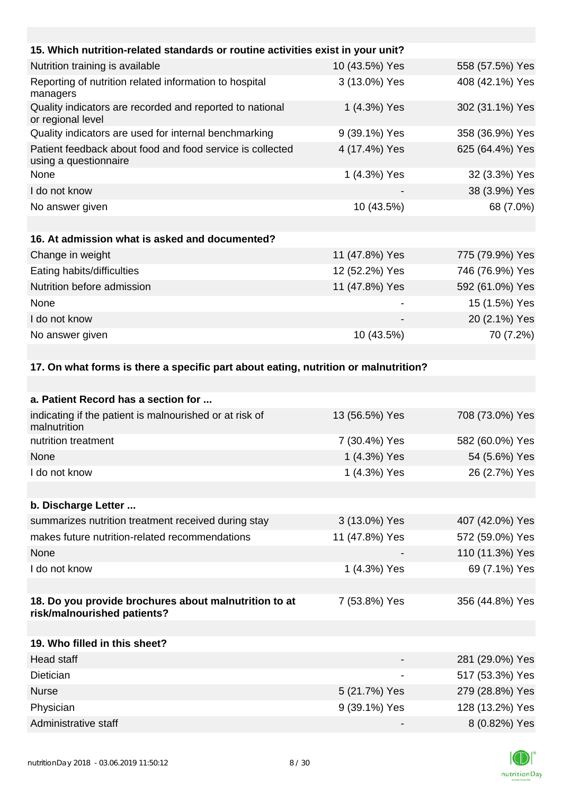| 15. Which nutrition-related standards or routine activities exist in your unit?     |                |                 |
|-------------------------------------------------------------------------------------|----------------|-----------------|
| Nutrition training is available                                                     | 10 (43.5%) Yes | 558 (57.5%) Yes |
| Reporting of nutrition related information to hospital<br>managers                  | 3 (13.0%) Yes  | 408 (42.1%) Yes |
| Quality indicators are recorded and reported to national<br>or regional level       | 1 (4.3%) Yes   | 302 (31.1%) Yes |
| Quality indicators are used for internal benchmarking                               | 9 (39.1%) Yes  | 358 (36.9%) Yes |
| Patient feedback about food and food service is collected<br>using a questionnaire  | 4 (17.4%) Yes  | 625 (64.4%) Yes |
| None                                                                                | 1 (4.3%) Yes   | 32 (3.3%) Yes   |
| I do not know                                                                       |                | 38 (3.9%) Yes   |
| No answer given                                                                     | 10 (43.5%)     | 68 (7.0%)       |
|                                                                                     |                |                 |
| 16. At admission what is asked and documented?                                      |                |                 |
| Change in weight                                                                    | 11 (47.8%) Yes | 775 (79.9%) Yes |
| Eating habits/difficulties                                                          | 12 (52.2%) Yes | 746 (76.9%) Yes |
| Nutrition before admission                                                          | 11 (47.8%) Yes | 592 (61.0%) Yes |
| None                                                                                |                | 15 (1.5%) Yes   |
| I do not know                                                                       |                | 20 (2.1%) Yes   |
| No answer given                                                                     | 10 (43.5%)     | 70 (7.2%)       |
|                                                                                     |                |                 |
| 17. On what forms is there a specific part about eating, nutrition or malnutrition? |                |                 |
|                                                                                     |                |                 |
| a. Patient Record has a section for                                                 |                |                 |
| indicating if the patient is malnourished or at risk of<br>malnutrition             | 13 (56.5%) Yes | 708 (73.0%) Yes |

| mainutrition                                                                         |                |                 |
|--------------------------------------------------------------------------------------|----------------|-----------------|
| nutrition treatment                                                                  | 7 (30.4%) Yes  | 582 (60.0%) Yes |
| None                                                                                 | 1 (4.3%) Yes   | 54 (5.6%) Yes   |
| I do not know                                                                        | 1 (4.3%) Yes   | 26 (2.7%) Yes   |
|                                                                                      |                |                 |
| b. Discharge Letter                                                                  |                |                 |
| summarizes nutrition treatment received during stay                                  | 3 (13.0%) Yes  | 407 (42.0%) Yes |
| makes future nutrition-related recommendations                                       | 11 (47.8%) Yes | 572 (59.0%) Yes |
| None                                                                                 |                | 110 (11.3%) Yes |
| I do not know                                                                        | 1 (4.3%) Yes   | 69 (7.1%) Yes   |
|                                                                                      |                |                 |
| 18. Do you provide brochures about malnutrition to at<br>risk/malnourished patients? | 7 (53.8%) Yes  | 356 (44.8%) Yes |
|                                                                                      |                |                 |
| 19. Who filled in this sheet?                                                        |                |                 |

| Head staff           |               | 281 (29.0%) Yes |
|----------------------|---------------|-----------------|
| <b>Dietician</b>     |               | 517 (53.3%) Yes |
| <b>Nurse</b>         | 5 (21.7%) Yes | 279 (28.8%) Yes |
| Physician            | 9 (39.1%) Yes | 128 (13.2%) Yes |
| Administrative staff | -             | 8 (0.82%) Yes   |

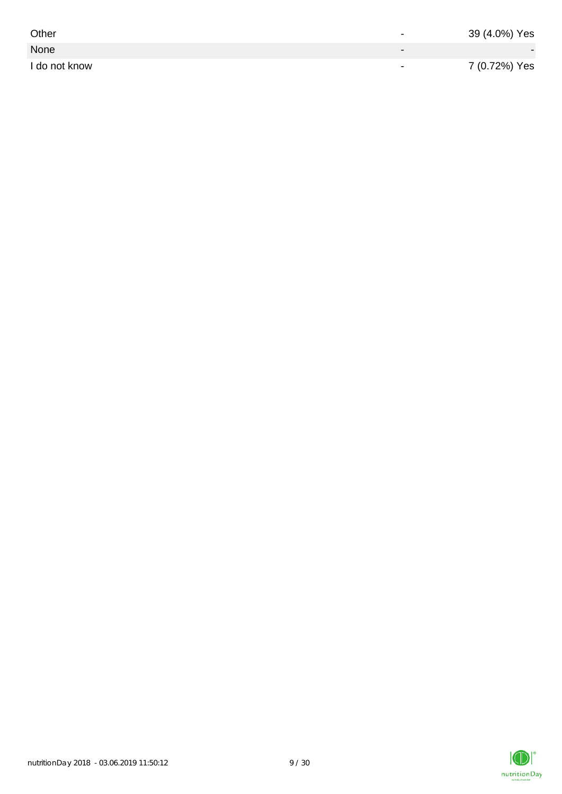| Other         | $\overline{\phantom{0}}$ | 39 (4.0%) Yes |
|---------------|--------------------------|---------------|
| None          | $\sim$                   |               |
| I do not know | $\overline{\phantom{0}}$ | 7 (0.72%) Yes |

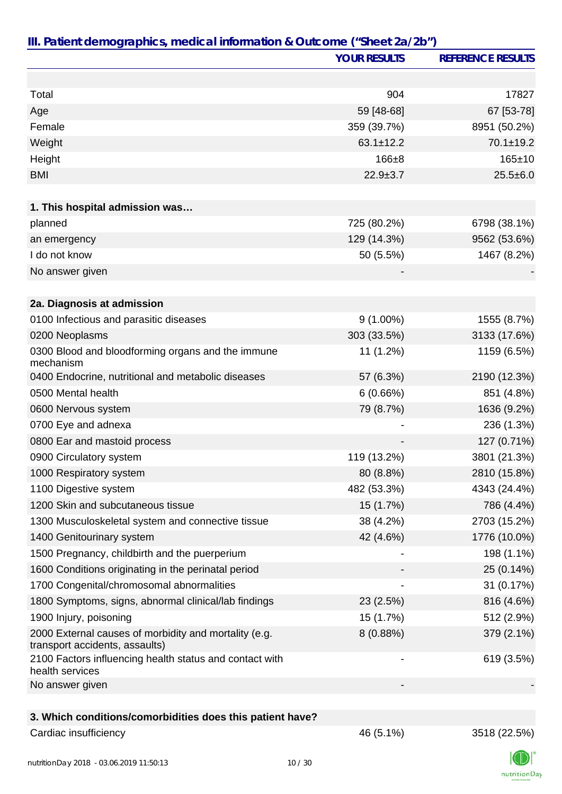|                                                                                         | <b>YOUR RESULTS</b> | <b>REFERENCE RESULTS</b> |
|-----------------------------------------------------------------------------------------|---------------------|--------------------------|
|                                                                                         |                     |                          |
| Total                                                                                   | 904                 | 17827                    |
| Age                                                                                     | 59 [48-68]          | 67 [53-78]               |
| Female                                                                                  | 359 (39.7%)         | 8951 (50.2%)             |
| Weight                                                                                  | $63.1 \pm 12.2$     | $70.1 \pm 19.2$          |
| Height                                                                                  | $166 + 8$           | $165 + 10$               |
| <b>BMI</b>                                                                              | $22.9 \pm 3.7$      | $25.5 \pm 6.0$           |
|                                                                                         |                     |                          |
| 1. This hospital admission was                                                          |                     |                          |
| planned                                                                                 | 725 (80.2%)         | 6798 (38.1%)             |
| an emergency                                                                            | 129 (14.3%)         | 9562 (53.6%)             |
| I do not know                                                                           | 50 (5.5%)           | 1467 (8.2%)              |
| No answer given                                                                         |                     |                          |
| 2a. Diagnosis at admission                                                              |                     |                          |
| 0100 Infectious and parasitic diseases                                                  | $9(1.00\%)$         | 1555 (8.7%)              |
| 0200 Neoplasms                                                                          | 303 (33.5%)         | 3133 (17.6%)             |
| 0300 Blood and bloodforming organs and the immune<br>mechanism                          | 11 (1.2%)           | 1159 (6.5%)              |
| 0400 Endocrine, nutritional and metabolic diseases                                      | 57 (6.3%)           | 2190 (12.3%)             |
| 0500 Mental health                                                                      | 6(0.66%)            | 851 (4.8%)               |
| 0600 Nervous system                                                                     | 79 (8.7%)           | 1636 (9.2%)              |
| 0700 Eye and adnexa                                                                     |                     | 236 (1.3%)               |
| 0800 Ear and mastoid process                                                            |                     | 127 (0.71%)              |
| 0900 Circulatory system                                                                 | 119 (13.2%)         | 3801 (21.3%)             |
| 1000 Respiratory system                                                                 | 80 (8.8%)           | 2810 (15.8%)             |
| 1100 Digestive system                                                                   | 482 (53.3%)         | 4343 (24.4%)             |
| 1200 Skin and subcutaneous tissue                                                       | 15 (1.7%)           | 786 (4.4%)               |
| 1300 Musculoskeletal system and connective tissue                                       | 38 (4.2%)           | 2703 (15.2%)             |
| 1400 Genitourinary system                                                               | 42 (4.6%)           | 1776 (10.0%)             |
| 1500 Pregnancy, childbirth and the puerperium                                           |                     | 198 (1.1%)               |
| 1600 Conditions originating in the perinatal period                                     |                     | 25 (0.14%)               |
| 1700 Congenital/chromosomal abnormalities                                               |                     | 31 (0.17%)               |
| 1800 Symptoms, signs, abnormal clinical/lab findings                                    | 23 (2.5%)           | 816 (4.6%)               |
| 1900 Injury, poisoning                                                                  | 15 (1.7%)           | 512 (2.9%)               |
| 2000 External causes of morbidity and mortality (e.g.<br>transport accidents, assaults) | 8 (0.88%)           | 379 (2.1%)               |
| 2100 Factors influencing health status and contact with<br>health services              |                     | 619 (3.5%)               |
| No answer given                                                                         |                     |                          |
|                                                                                         |                     |                          |
| 3. Which conditions/comorbidities does this patient have?                               |                     |                          |

## Cardiac insufficiency 2518 (22.5%)

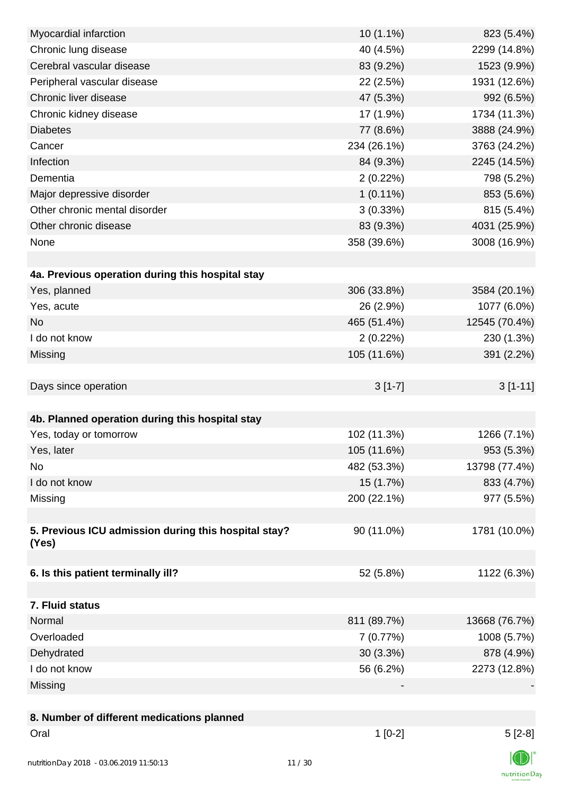| Myocardial infarction                                | $10(1.1\%)$ | 823 (5.4%)    |
|------------------------------------------------------|-------------|---------------|
| Chronic lung disease                                 | 40 (4.5%)   | 2299 (14.8%)  |
| Cerebral vascular disease                            | 83 (9.2%)   | 1523 (9.9%)   |
| Peripheral vascular disease                          | 22 (2.5%)   | 1931 (12.6%)  |
| Chronic liver disease                                | 47 (5.3%)   | 992 (6.5%)    |
| Chronic kidney disease                               | 17 (1.9%)   | 1734 (11.3%)  |
| <b>Diabetes</b>                                      | 77 (8.6%)   | 3888 (24.9%)  |
| Cancer                                               | 234 (26.1%) | 3763 (24.2%)  |
| Infection                                            | 84 (9.3%)   | 2245 (14.5%)  |
| Dementia                                             | 2(0.22%)    | 798 (5.2%)    |
| Major depressive disorder                            | $1(0.11\%)$ | 853 (5.6%)    |
| Other chronic mental disorder                        | 3(0.33%)    | 815 (5.4%)    |
| Other chronic disease                                | 83 (9.3%)   | 4031 (25.9%)  |
| None                                                 | 358 (39.6%) | 3008 (16.9%)  |
|                                                      |             |               |
| 4a. Previous operation during this hospital stay     |             |               |
| Yes, planned                                         | 306 (33.8%) | 3584 (20.1%)  |
| Yes, acute                                           | 26 (2.9%)   | 1077 (6.0%)   |
| <b>No</b>                                            | 465 (51.4%) | 12545 (70.4%) |
| I do not know                                        | 2(0.22%)    | 230 (1.3%)    |
| Missing                                              | 105 (11.6%) | 391 (2.2%)    |
|                                                      |             |               |
| Days since operation                                 | $3[1-7]$    | $3[1-11]$     |
|                                                      |             |               |
| 4b. Planned operation during this hospital stay      |             |               |
| Yes, today or tomorrow                               | 102 (11.3%) | 1266 (7.1%)   |
| Yes, later                                           | 105 (11.6%) | 953 (5.3%)    |
| No                                                   | 482 (53.3%) | 13798 (77.4%) |
| I do not know                                        | 15 (1.7%)   | 833 (4.7%)    |
| Missing                                              | 200 (22.1%) | 977 (5.5%)    |
|                                                      |             |               |
| 5. Previous ICU admission during this hospital stay? | 90 (11.0%)  | 1781 (10.0%)  |
| (Yes)                                                |             |               |
|                                                      |             |               |
| 6. Is this patient terminally ill?                   | 52 (5.8%)   | 1122 (6.3%)   |
|                                                      |             |               |
| 7. Fluid status                                      |             |               |
| Normal                                               | 811 (89.7%) | 13668 (76.7%) |
| Overloaded                                           | 7(0.77%)    | 1008 (5.7%)   |
| Dehydrated                                           | 30 (3.3%)   | 878 (4.9%)    |
| I do not know                                        | 56 (6.2%)   | 2273 (12.8%)  |
| Missing                                              |             |               |
| 8. Number of different medications planned           |             |               |
| Oral                                                 | $1[0-2]$    | $5[2-8]$      |
|                                                      |             |               |

 $\mathbb{C}$ nutritionDay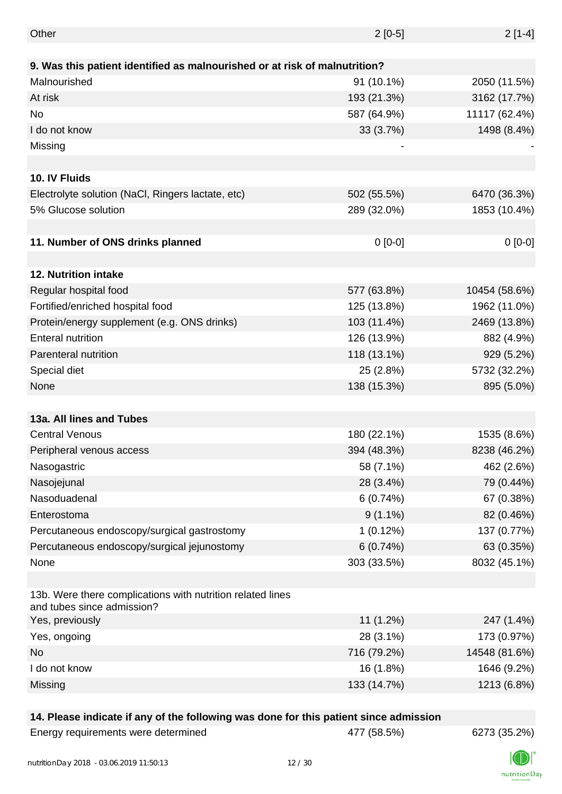| Other                                                                                    | $2[0-5]$    | $2[1-4]$      |
|------------------------------------------------------------------------------------------|-------------|---------------|
|                                                                                          |             |               |
| 9. Was this patient identified as malnourished or at risk of malnutrition?               |             |               |
| Malnourished                                                                             | 91 (10.1%)  | 2050 (11.5%)  |
| At risk                                                                                  | 193 (21.3%) | 3162 (17.7%)  |
| <b>No</b>                                                                                | 587 (64.9%) | 11117 (62.4%) |
| I do not know                                                                            | 33 (3.7%)   | 1498 (8.4%)   |
| Missing                                                                                  |             |               |
|                                                                                          |             |               |
| 10. IV Fluids                                                                            |             |               |
| Electrolyte solution (NaCl, Ringers lactate, etc)                                        | 502 (55.5%) | 6470 (36.3%)  |
| 5% Glucose solution                                                                      | 289 (32.0%) | 1853 (10.4%)  |
|                                                                                          |             |               |
| 11. Number of ONS drinks planned                                                         | $0 [0-0]$   | $0[0-0]$      |
|                                                                                          |             |               |
| 12. Nutrition intake                                                                     |             |               |
| Regular hospital food                                                                    | 577 (63.8%) | 10454 (58.6%) |
| Fortified/enriched hospital food                                                         | 125 (13.8%) | 1962 (11.0%)  |
| Protein/energy supplement (e.g. ONS drinks)                                              | 103 (11.4%) | 2469 (13.8%)  |
| <b>Enteral nutrition</b>                                                                 | 126 (13.9%) | 882 (4.9%)    |
| Parenteral nutrition                                                                     | 118 (13.1%) | 929 (5.2%)    |
| Special diet                                                                             | 25 (2.8%)   | 5732 (32.2%)  |
| None                                                                                     | 138 (15.3%) | 895 (5.0%)    |
|                                                                                          |             |               |
| 13a. All lines and Tubes                                                                 |             |               |
| <b>Central Venous</b>                                                                    | 180 (22.1%) | 1535 (8.6%)   |
| Peripheral venous access                                                                 | 394 (48.3%) | 8238 (46.2%)  |
| Nasogastric                                                                              | 58 (7.1%)   | 462 (2.6%)    |
| Nasojejunal                                                                              | 28 (3.4%)   | 79 (0.44%)    |
| Nasoduadenal                                                                             | 6(0.74%)    | 67 (0.38%)    |
| Enterostoma                                                                              | $9(1.1\%)$  | 82 (0.46%)    |
|                                                                                          | 1(0.12%)    | 137 (0.77%)   |
| Percutaneous endoscopy/surgical gastrostomy                                              |             |               |
| Percutaneous endoscopy/surgical jejunostomy                                              | 6(0.74%)    | 63 (0.35%)    |
| None                                                                                     | 303 (33.5%) | 8032 (45.1%)  |
| 13b. Were there complications with nutrition related lines<br>and tubes since admission? |             |               |
| Yes, previously                                                                          | $11(1.2\%)$ | 247 (1.4%)    |
| Yes, ongoing                                                                             | 28 (3.1%)   | 173 (0.97%)   |
| <b>No</b>                                                                                | 716 (79.2%) | 14548 (81.6%) |
| I do not know                                                                            | 16 (1.8%)   | 1646 (9.2%)   |
| Missing                                                                                  | 133 (14.7%) | 1213 (6.8%)   |
|                                                                                          |             |               |

### **14. Please indicate if any of the following was done for this patient since admission**

| Energy requirements were determined |
|-------------------------------------|
|-------------------------------------|

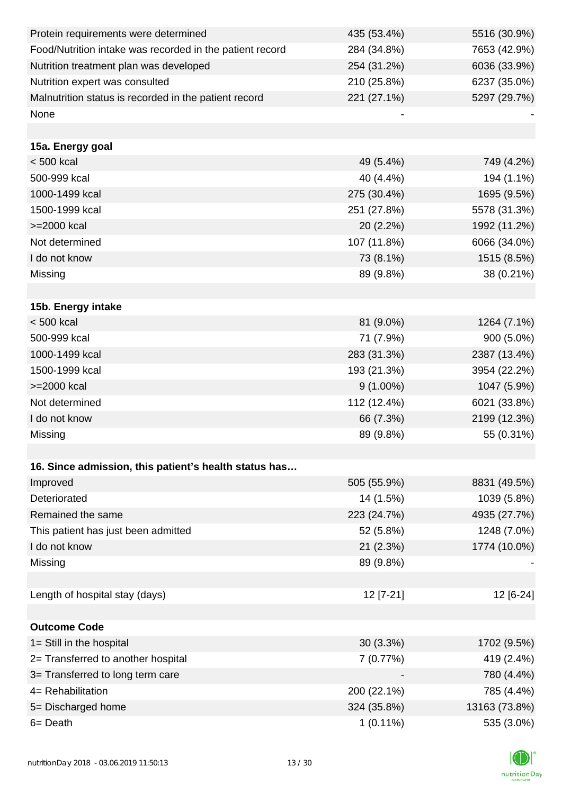| Protein requirements were determined                     | 435 (53.4%) | 5516 (30.9%)  |
|----------------------------------------------------------|-------------|---------------|
| Food/Nutrition intake was recorded in the patient record | 284 (34.8%) | 7653 (42.9%)  |
| Nutrition treatment plan was developed                   | 254 (31.2%) | 6036 (33.9%)  |
| Nutrition expert was consulted                           | 210 (25.8%) | 6237 (35.0%)  |
| Malnutrition status is recorded in the patient record    | 221 (27.1%) | 5297 (29.7%)  |
| None                                                     |             |               |
|                                                          |             |               |
| 15a. Energy goal                                         |             |               |
| $< 500$ kcal                                             | 49 (5.4%)   | 749 (4.2%)    |
| 500-999 kcal                                             | 40 (4.4%)   | 194 (1.1%)    |
| 1000-1499 kcal                                           | 275 (30.4%) | 1695 (9.5%)   |
| 1500-1999 kcal                                           | 251 (27.8%) | 5578 (31.3%)  |
| >=2000 kcal                                              | 20 (2.2%)   | 1992 (11.2%)  |
| Not determined                                           | 107 (11.8%) | 6066 (34.0%)  |
| I do not know                                            | 73 (8.1%)   | 1515 (8.5%)   |
| Missing                                                  | 89 (9.8%)   | 38 (0.21%)    |
|                                                          |             |               |
| 15b. Energy intake                                       |             |               |
| < 500 kcal                                               | 81 (9.0%)   | 1264 (7.1%)   |
| 500-999 kcal                                             | 71 (7.9%)   | 900 (5.0%)    |
| 1000-1499 kcal                                           | 283 (31.3%) | 2387 (13.4%)  |
| 1500-1999 kcal                                           | 193 (21.3%) | 3954 (22.2%)  |
| >=2000 kcal                                              | $9(1.00\%)$ | 1047 (5.9%)   |
| Not determined                                           | 112 (12.4%) | 6021 (33.8%)  |
| I do not know                                            | 66 (7.3%)   | 2199 (12.3%)  |
| Missing                                                  | 89 (9.8%)   | 55 (0.31%)    |
|                                                          |             |               |
| 16. Since admission, this patient's health status has    |             |               |
| Improved                                                 | 505 (55.9%) | 8831 (49.5%)  |
| Deteriorated                                             | 14 (1.5%)   | 1039 (5.8%)   |
| Remained the same                                        | 223 (24.7%) | 4935 (27.7%)  |
| This patient has just been admitted                      | 52 (5.8%)   | 1248 (7.0%)   |
| I do not know                                            | 21(2.3%)    | 1774 (10.0%)  |
| Missing                                                  | 89 (9.8%)   |               |
|                                                          |             |               |
| Length of hospital stay (days)                           | 12 [7-21]   | 12 [6-24]     |
|                                                          |             |               |
| <b>Outcome Code</b>                                      |             |               |
| 1= Still in the hospital                                 | $30(3.3\%)$ | 1702 (9.5%)   |
| 2= Transferred to another hospital                       | 7(0.77%)    | 419 (2.4%)    |
| 3= Transferred to long term care                         |             | 780 (4.4%)    |
| 4= Rehabilitation                                        | 200 (22.1%) | 785 (4.4%)    |
| 5= Discharged home                                       | 324 (35.8%) | 13163 (73.8%) |
| 6= Death                                                 | $1(0.11\%)$ | 535 (3.0%)    |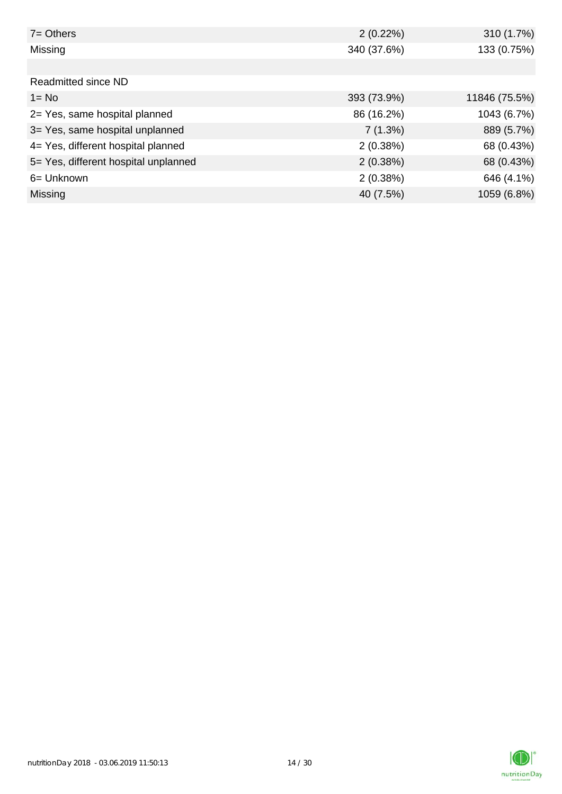| $7 =$ Others                         | 2(0.22%)    | 310 (1.7%)    |
|--------------------------------------|-------------|---------------|
| Missing                              | 340 (37.6%) | 133 (0.75%)   |
|                                      |             |               |
| Readmitted since ND                  |             |               |
| $1 = No$                             | 393 (73.9%) | 11846 (75.5%) |
| 2= Yes, same hospital planned        | 86 (16.2%)  | 1043 (6.7%)   |
| 3= Yes, same hospital unplanned      | 7(1.3%)     | 889 (5.7%)    |
| 4= Yes, different hospital planned   | 2(0.38%)    | 68 (0.43%)    |
| 5= Yes, different hospital unplanned | 2(0.38%)    | 68 (0.43%)    |
| 6= Unknown                           | 2(0.38%)    | 646 (4.1%)    |
| Missing                              | 40 (7.5%)   | 1059 (6.8%)   |

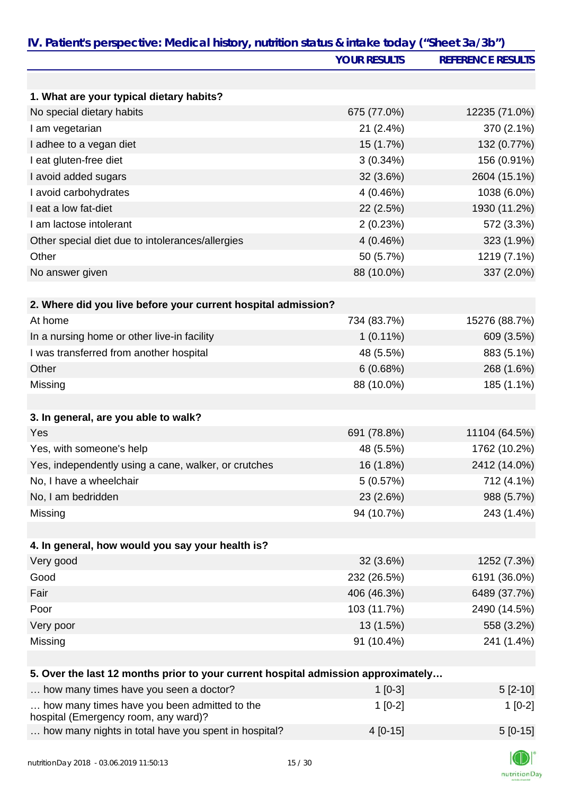| IV. Patient's perspective: Medical history, nutrition status & intake today ("Sheet 3a/3b") |                     |                          |
|---------------------------------------------------------------------------------------------|---------------------|--------------------------|
|                                                                                             | <b>YOUR RESULTS</b> | <b>REFERENCE RESULTS</b> |
|                                                                                             |                     |                          |
| 1. What are your typical dietary habits?                                                    |                     |                          |
| No special dietary habits                                                                   | 675 (77.0%)         | 12235 (71.0%)            |
| I am vegetarian                                                                             | 21 (2.4%)           | 370 (2.1%)               |
| I adhee to a vegan diet                                                                     | 15 (1.7%)           | 132 (0.77%)              |
| I eat gluten-free diet                                                                      | $3(0.34\%)$         | 156 (0.91%)              |
| I avoid added sugars                                                                        | 32 (3.6%)           | 2604 (15.1%)             |
| I avoid carbohydrates                                                                       | 4 (0.46%)           | 1038 (6.0%)              |
| I eat a low fat-diet                                                                        | 22 (2.5%)           | 1930 (11.2%)             |
| I am lactose intolerant                                                                     | 2(0.23%)            | 572 (3.3%)               |
| Other special diet due to intolerances/allergies                                            | 4 (0.46%)           | 323 (1.9%)               |
| Other                                                                                       | 50 (5.7%)           | 1219 (7.1%)              |
| No answer given                                                                             | 88 (10.0%)          | 337 (2.0%)               |
|                                                                                             |                     |                          |
| 2. Where did you live before your current hospital admission?                               |                     |                          |
| At home                                                                                     | 734 (83.7%)         | 15276 (88.7%)            |
| In a nursing home or other live-in facility                                                 | $1(0.11\%)$         | 609 (3.5%)               |
| I was transferred from another hospital                                                     | 48 (5.5%)           | 883 (5.1%)               |
| Other                                                                                       | 6(0.68%)            | 268 (1.6%)               |
| Missing                                                                                     | 88 (10.0%)          | 185 (1.1%)               |
|                                                                                             |                     |                          |
| 3. In general, are you able to walk?                                                        |                     |                          |
| Yes                                                                                         | 691 (78.8%)         | 11104 (64.5%)            |
| Yes, with someone's help                                                                    | 48 (5.5%)           | 1762 (10.2%)             |
| Yes, independently using a cane, walker, or crutches                                        | 16 (1.8%)           | 2412 (14.0%)             |
| No, I have a wheelchair                                                                     | 5(0.57%)            | 712 (4.1%)               |
| No, I am bedridden                                                                          | 23 (2.6%)           | 988 (5.7%)               |
| Missing                                                                                     | 94 (10.7%)          | 243 (1.4%)               |
|                                                                                             |                     |                          |
| 4. In general, how would you say your health is?                                            |                     |                          |
| Very good                                                                                   | 32 (3.6%)           | 1252 (7.3%)              |
| Good                                                                                        | 232 (26.5%)         | 6191 (36.0%)             |
| Fair                                                                                        | 406 (46.3%)         | 6489 (37.7%)             |
| Poor                                                                                        | 103 (11.7%)         | 2490 (14.5%)             |
| Very poor                                                                                   | 13 (1.5%)           | 558 (3.2%)               |
| Missing                                                                                     | 91 (10.4%)          | 241 (1.4%)               |
|                                                                                             |                     |                          |
| 5. Over the last 12 months prior to your current hospital admission approximately           |                     |                          |
| how many times have you seen a doctor?                                                      | $1$ [0-3]           | $5[2-10]$                |
| how many times have you been admitted to the<br>hospital (Emergency room, any ward)?        | $1[0-2]$            | $1[0-2]$                 |
| how many nights in total have you spent in hospital?                                        | $4[0-15]$           | $5[0-15]$                |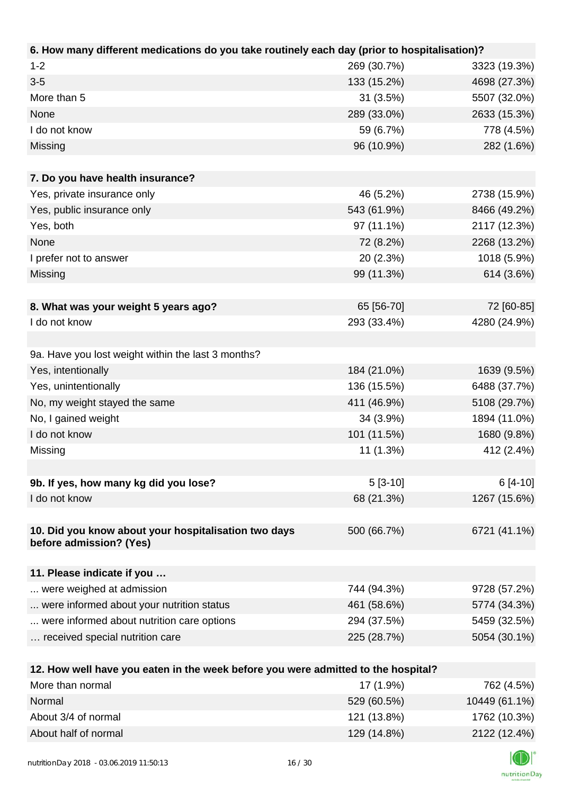| 6. How many different medications do you take routinely each day (prior to hospitalisation)? |             |              |
|----------------------------------------------------------------------------------------------|-------------|--------------|
| $1 - 2$                                                                                      | 269 (30.7%) | 3323 (19.3%) |
| $3 - 5$                                                                                      | 133 (15.2%) | 4698 (27.3%) |
| More than 5                                                                                  | 31(3.5%)    | 5507 (32.0%) |
| None                                                                                         | 289 (33.0%) | 2633 (15.3%) |
| I do not know                                                                                | 59 (6.7%)   | 778 (4.5%)   |
| Missing                                                                                      | 96 (10.9%)  | 282 (1.6%)   |
|                                                                                              |             |              |
| 7. Do you have health insurance?                                                             |             |              |
| Yes, private insurance only                                                                  | 46 (5.2%)   | 2738 (15.9%) |
| Yes, public insurance only                                                                   | 543 (61.9%) | 8466 (49.2%) |
| Yes, both                                                                                    | 97 (11.1%)  | 2117 (12.3%) |
| None                                                                                         | 72 (8.2%)   | 2268 (13.2%) |
| I prefer not to answer                                                                       | 20 (2.3%)   | 1018 (5.9%)  |
| Missing                                                                                      | 99 (11.3%)  | 614 (3.6%)   |
|                                                                                              |             |              |
| 8. What was your weight 5 years ago?                                                         | 65 [56-70]  | 72 [60-85]   |
| I do not know                                                                                | 293 (33.4%) | 4280 (24.9%) |
|                                                                                              |             |              |
| 9a. Have you lost weight within the last 3 months?                                           |             |              |
| Yes, intentionally                                                                           | 184 (21.0%) | 1639 (9.5%)  |
| Yes, unintentionally                                                                         | 136 (15.5%) | 6488 (37.7%) |
| No, my weight stayed the same                                                                | 411 (46.9%) | 5108 (29.7%) |
| No, I gained weight                                                                          | 34 (3.9%)   | 1894 (11.0%) |
| I do not know                                                                                | 101 (11.5%) | 1680 (9.8%)  |
| Missing                                                                                      | 11 (1.3%)   | 412 (2.4%)   |
|                                                                                              |             |              |
| 9b. If yes, how many kg did you lose?                                                        | $5[3-10]$   | $6[4-10]$    |
| I do not know                                                                                | 68 (21.3%)  | 1267 (15.6%) |
|                                                                                              |             |              |
| 10. Did you know about your hospitalisation two days                                         | 500 (66.7%) | 6721 (41.1%) |
| before admission? (Yes)                                                                      |             |              |
|                                                                                              |             |              |
| 11. Please indicate if you                                                                   |             |              |
| were weighed at admission                                                                    | 744 (94.3%) | 9728 (57.2%) |
| were informed about your nutrition status                                                    | 461 (58.6%) | 5774 (34.3%) |
| were informed about nutrition care options                                                   | 294 (37.5%) | 5459 (32.5%) |
| received special nutrition care                                                              | 225 (28.7%) | 5054 (30.1%) |
|                                                                                              |             |              |
| 12. How well have you eaten in the week before you were admitted to the hospital?            |             |              |
| More than normal                                                                             | 17 (1.9%)   | 762 (4.5%)   |

| More than normal     | 17 (1.9%)   | 762 (4.5%)    |
|----------------------|-------------|---------------|
| Normal               | 529 (60.5%) | 10449 (61.1%) |
| About 3/4 of normal  | 121 (13.8%) | 1762 (10.3%)  |
| About half of normal | 129 (14.8%) | 2122 (12.4%)  |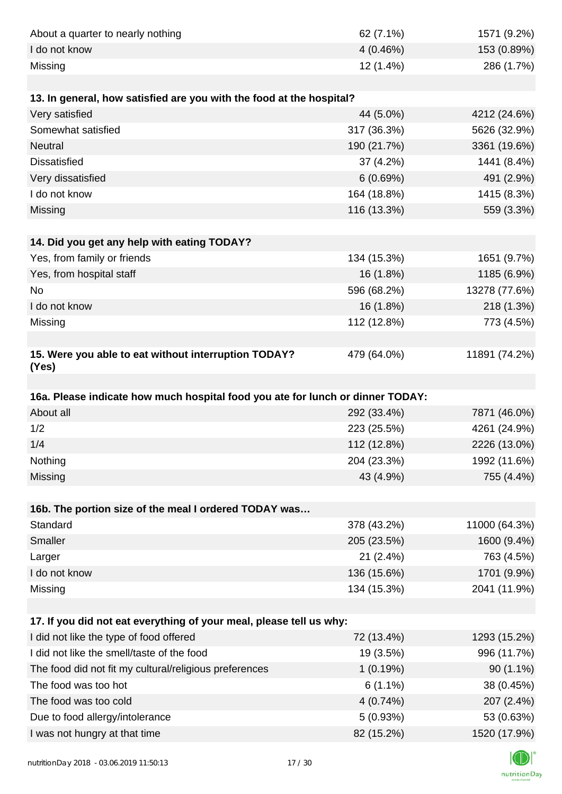| About a quarter to nearly nothing                                              | 62 (7.1%)              | 1571 (9.2%)                |
|--------------------------------------------------------------------------------|------------------------|----------------------------|
| I do not know                                                                  | 4(0.46%)               | 153 (0.89%)                |
| Missing                                                                        | 12 (1.4%)              | 286 (1.7%)                 |
|                                                                                |                        |                            |
| 13. In general, how satisfied are you with the food at the hospital?           |                        |                            |
| Very satisfied                                                                 | 44 (5.0%)              | 4212 (24.6%)               |
| Somewhat satisfied                                                             | 317 (36.3%)            | 5626 (32.9%)               |
| Neutral                                                                        | 190 (21.7%)            | 3361 (19.6%)               |
| <b>Dissatisfied</b>                                                            | 37 (4.2%)              | 1441 (8.4%)                |
| Very dissatisfied                                                              | 6(0.69%)               | 491 (2.9%)                 |
| I do not know                                                                  | 164 (18.8%)            | 1415 (8.3%)                |
| Missing                                                                        | 116 (13.3%)            | 559 (3.3%)                 |
|                                                                                |                        |                            |
| 14. Did you get any help with eating TODAY?                                    |                        |                            |
| Yes, from family or friends                                                    | 134 (15.3%)            | 1651 (9.7%)                |
| Yes, from hospital staff                                                       | 16 (1.8%)              | 1185 (6.9%)                |
| No                                                                             | 596 (68.2%)            | 13278 (77.6%)              |
| I do not know                                                                  | 16 (1.8%)              | 218 (1.3%)                 |
| Missing                                                                        | 112 (12.8%)            | 773 (4.5%)                 |
|                                                                                |                        |                            |
| 15. Were you able to eat without interruption TODAY?<br>(Yes)                  | 479 (64.0%)            | 11891 (74.2%)              |
|                                                                                |                        |                            |
| 16a. Please indicate how much hospital food you ate for lunch or dinner TODAY: |                        |                            |
| About all                                                                      | 292 (33.4%)            | 7871 (46.0%)               |
| 1/2                                                                            | 223 (25.5%)            | 4261 (24.9%)               |
| 1/4                                                                            | 112 (12.8%)            | 2226 (13.0%)               |
| Nothing                                                                        | 204 (23.3%)            | 1992 (11.6%)               |
| Missing                                                                        | 43 (4.9%)              | 755 (4.4%)                 |
|                                                                                |                        |                            |
|                                                                                |                        |                            |
| 16b. The portion size of the meal I ordered TODAY was                          |                        |                            |
| Standard                                                                       | 378 (43.2%)            | 11000 (64.3%)              |
| Smaller                                                                        | 205 (23.5%)            | 1600 (9.4%)                |
| Larger                                                                         | 21 (2.4%)              | 763 (4.5%)                 |
| I do not know                                                                  | 136 (15.6%)            | 1701 (9.9%)                |
| Missing                                                                        | 134 (15.3%)            | 2041 (11.9%)               |
|                                                                                |                        |                            |
| 17. If you did not eat everything of your meal, please tell us why:            |                        |                            |
| I did not like the type of food offered                                        | 72 (13.4%)             | 1293 (15.2%)               |
| I did not like the smell/taste of the food                                     | 19 (3.5%)              | 996 (11.7%)                |
| The food did not fit my cultural/religious preferences                         | 1(0.19%)               | $90(1.1\%)$                |
| The food was too hot                                                           | $6(1.1\%)$             | 38 (0.45%)                 |
| The food was too cold                                                          | 4(0.74%)               | 207 (2.4%)                 |
| Due to food allergy/intolerance<br>I was not hungry at that time               | 5(0.93%)<br>82 (15.2%) | 53 (0.63%)<br>1520 (17.9%) |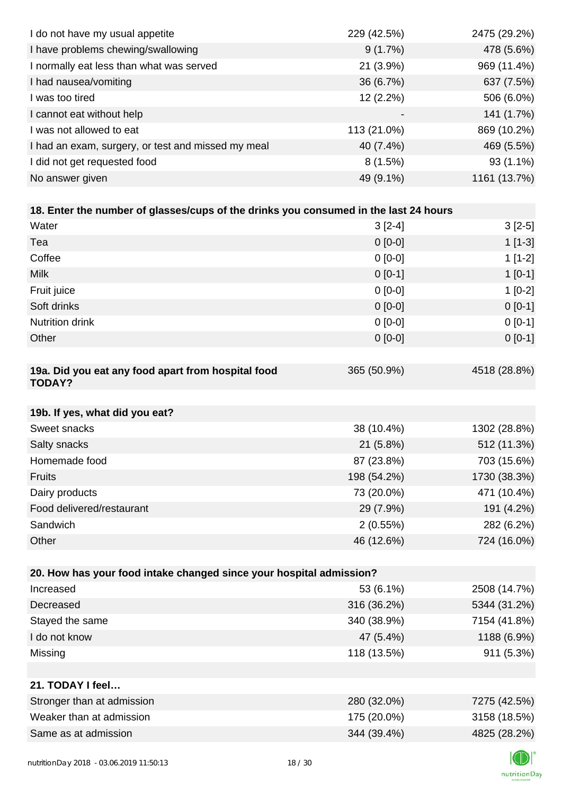| I do not have my usual appetite                                                      | 229 (42.5%) | 2475 (29.2%) |
|--------------------------------------------------------------------------------------|-------------|--------------|
| I have problems chewing/swallowing                                                   | 9(1.7%)     | 478 (5.6%)   |
| I normally eat less than what was served                                             | 21 (3.9%)   | 969 (11.4%)  |
| I had nausea/vomiting                                                                | 36 (6.7%)   | 637 (7.5%)   |
| I was too tired                                                                      | 12 (2.2%)   | 506 (6.0%)   |
| I cannot eat without help                                                            |             | 141 (1.7%)   |
| I was not allowed to eat                                                             | 113 (21.0%) | 869 (10.2%)  |
| I had an exam, surgery, or test and missed my meal                                   | 40 (7.4%)   | 469 (5.5%)   |
| I did not get requested food                                                         | 8(1.5%)     | 93 (1.1%)    |
| No answer given                                                                      | 49 (9.1%)   | 1161 (13.7%) |
|                                                                                      |             |              |
| 18. Enter the number of glasses/cups of the drinks you consumed in the last 24 hours |             |              |
| Water                                                                                | $3[2-4]$    | $3[2-5]$     |
| Tea                                                                                  | $0[0-0]$    | $1[1-3]$     |
| Coffee                                                                               | $0[0-0]$    | $1[1-2]$     |
| <b>Milk</b>                                                                          | $0[0-1]$    | $1[0-1]$     |
| Fruit juice                                                                          | $0 [0-0]$   | $1[0-2]$     |
| Soft drinks                                                                          | $0[0-0]$    | $0 [0-1]$    |
| Nutrition drink                                                                      | $0[0-0]$    | $0[0-1]$     |
| Other                                                                                | $0 [0-0]$   | $0 [0-1]$    |
|                                                                                      |             |              |
| 19a. Did you eat any food apart from hospital food<br><b>TODAY?</b>                  | 365 (50.9%) | 4518 (28.8%) |
| 19b. If yes, what did you eat?                                                       |             |              |
| Sweet snacks                                                                         | 38 (10.4%)  | 1302 (28.8%) |
| Salty snacks                                                                         | 21 (5.8%)   | 512 (11.3%)  |
| Homemade food                                                                        | 87 (23.8%)  | 703 (15.6%)  |
| <b>Fruits</b>                                                                        | 198 (54.2%) | 1730 (38.3%) |
| Dairy products                                                                       | 73 (20.0%)  | 471 (10.4%)  |
| Food delivered/restaurant                                                            | 29 (7.9%)   | 191 (4.2%)   |
| Sandwich                                                                             | 2(0.55%)    | 282 (6.2%)   |
| Other                                                                                | 46 (12.6%)  | 724 (16.0%)  |
|                                                                                      |             |              |
| 20. How has your food intake changed since your hospital admission?                  |             |              |
| Increased                                                                            | 53 (6.1%)   | 2508 (14.7%) |
| Decreased                                                                            | 316 (36.2%) | 5344 (31.2%) |
| Stayed the same                                                                      | 340 (38.9%) | 7154 (41.8%) |
| I do not know                                                                        | 47 (5.4%)   | 1188 (6.9%)  |
| Missing                                                                              | 118 (13.5%) | 911 (5.3%)   |
|                                                                                      |             |              |
| 21. TODAY I feel                                                                     |             |              |
| Stronger than at admission                                                           | 280 (32.0%) | 7275 (42.5%) |
| Weaker than at admission                                                             | 175 (20.0%) | 3158 (18.5%) |
| Same as at admission                                                                 | 344 (39.4%) | 4825 (28.2%) |
|                                                                                      |             |              |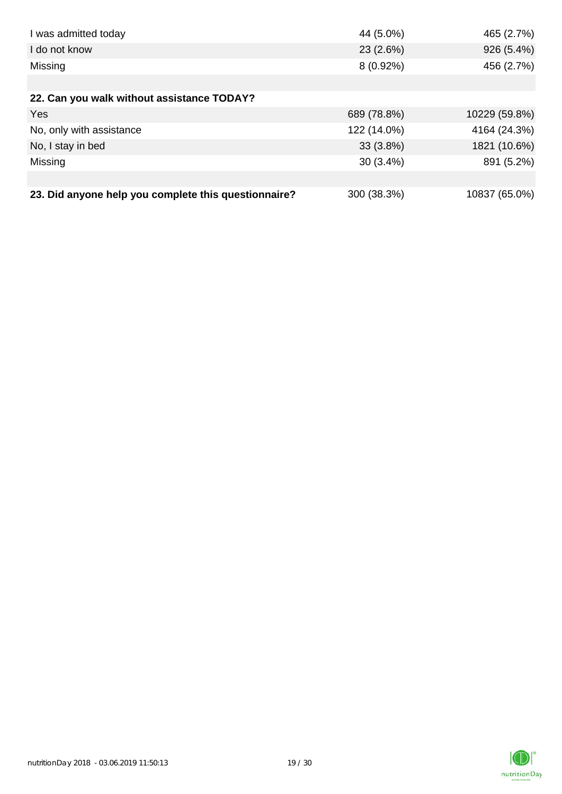| I was admitted today                                 | 44 (5.0%)   | 465 (2.7%)    |
|------------------------------------------------------|-------------|---------------|
| I do not know                                        | 23(2.6%)    | 926 (5.4%)    |
| Missing                                              | $8(0.92\%)$ | 456 (2.7%)    |
|                                                      |             |               |
| 22. Can you walk without assistance TODAY?           |             |               |
| <b>Yes</b>                                           | 689 (78.8%) | 10229 (59.8%) |
| No, only with assistance                             | 122 (14.0%) | 4164 (24.3%)  |
| No, I stay in bed                                    | $33(3.8\%)$ | 1821 (10.6%)  |
| Missing                                              | $30(3.4\%)$ | 891 (5.2%)    |
|                                                      |             |               |
| 23. Did anyone help you complete this questionnaire? | 300 (38.3%) | 10837 (65.0%) |

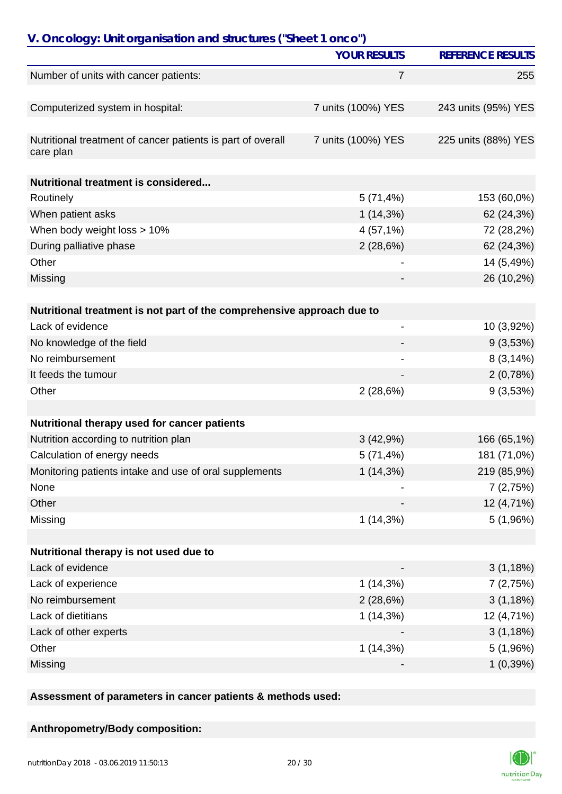| V. Oncology: Unit organisation and structures ("Sheet 1 onco")         |                     |                          |  |
|------------------------------------------------------------------------|---------------------|--------------------------|--|
|                                                                        | <b>YOUR RESULTS</b> | <b>REFERENCE RESULTS</b> |  |
| Number of units with cancer patients:                                  | 7                   | 255                      |  |
|                                                                        |                     |                          |  |
| Computerized system in hospital:                                       | 7 units (100%) YES  | 243 units (95%) YES      |  |
|                                                                        |                     |                          |  |
| Nutritional treatment of cancer patients is part of overall            | 7 units (100%) YES  | 225 units (88%) YES      |  |
| care plan                                                              |                     |                          |  |
| Nutritional treatment is considered                                    |                     |                          |  |
| Routinely                                                              | 5(71,4%)            | 153 (60,0%)              |  |
| When patient asks                                                      | $1(14,3\%)$         | 62 (24,3%)               |  |
| When body weight loss > 10%                                            | 4(57,1%)            | 72 (28,2%)               |  |
| During palliative phase                                                | 2(28,6%)            | 62 (24,3%)               |  |
| Other                                                                  |                     | 14 (5,49%)               |  |
| Missing                                                                |                     | 26 (10,2%)               |  |
|                                                                        |                     |                          |  |
| Nutritional treatment is not part of the comprehensive approach due to |                     |                          |  |
| Lack of evidence                                                       |                     | 10 (3,92%)               |  |
| No knowledge of the field                                              |                     | 9(3,53%)                 |  |
| No reimbursement                                                       | ۰                   | 8(3,14%)                 |  |
| It feeds the tumour                                                    |                     | 2(0,78%)                 |  |
| Other                                                                  | 2(28,6%)            | 9(3,53%)                 |  |
|                                                                        |                     |                          |  |
| Nutritional therapy used for cancer patients                           |                     |                          |  |
| Nutrition according to nutrition plan                                  | 3(42,9%)            | 166 (65,1%)              |  |
| Calculation of energy needs                                            | 5(71,4%)            | 181 (71,0%)              |  |
| Monitoring patients intake and use of oral supplements                 | 1(14,3%)            | 219 (85,9%)              |  |
| None                                                                   |                     | 7(2,75%)                 |  |
| Other                                                                  |                     | 12 (4,71%)               |  |
| Missing                                                                | 1(14,3%)            | 5(1,96%)                 |  |
|                                                                        |                     |                          |  |
| Nutritional therapy is not used due to                                 |                     |                          |  |
| Lack of evidence                                                       |                     | 3(1,18%)                 |  |
| Lack of experience                                                     | $1(14,3\%)$         | 7(2,75%)                 |  |
| No reimbursement                                                       | 2(28,6%)            | 3(1,18%)                 |  |
| Lack of dietitians                                                     | $1(14,3\%)$         | 12 (4,71%)               |  |
| Lack of other experts                                                  |                     | 3(1,18%)                 |  |
| Other                                                                  | 1(14,3%)            | 5(1,96%)                 |  |
| Missing                                                                |                     | 1(0,39%)                 |  |

**Assessment of parameters in cancer patients & methods used:**

#### **Anthropometry/Body composition:**

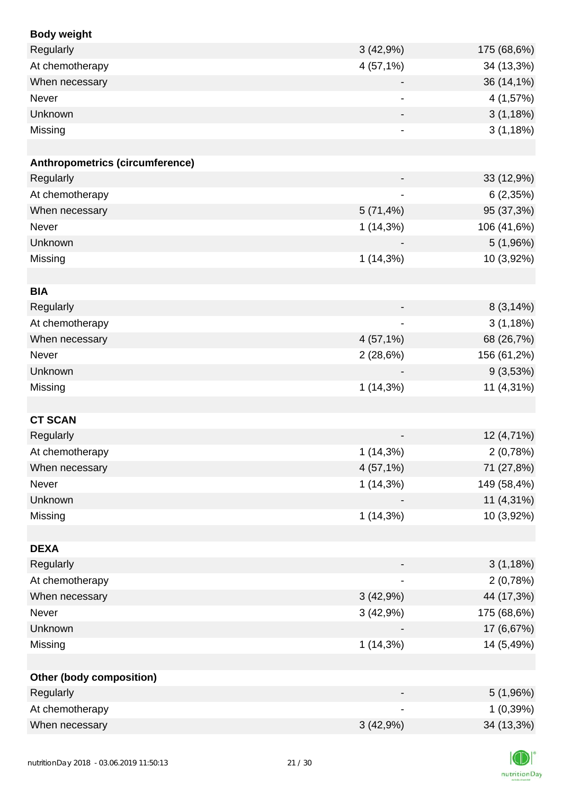| <b>Body weight</b>                     |                          |             |
|----------------------------------------|--------------------------|-------------|
| Regularly                              | 3(42,9%)                 | 175 (68,6%) |
| At chemotherapy                        | 4(57,1%)                 | 34 (13,3%)  |
| When necessary                         |                          | 36 (14,1%)  |
| Never                                  |                          | 4 (1,57%)   |
| Unknown                                |                          | 3(1,18%)    |
| Missing                                | $\blacksquare$           | 3(1,18%)    |
|                                        |                          |             |
| <b>Anthropometrics (circumference)</b> |                          |             |
| Regularly                              |                          | 33 (12,9%)  |
| At chemotherapy                        |                          | 6(2,35%)    |
| When necessary                         | 5(71,4%)                 | 95 (37,3%)  |
| Never                                  | $1(14,3\%)$              | 106 (41,6%) |
| Unknown                                |                          | 5(1,96%)    |
| Missing                                | $1(14,3\%)$              | 10 (3,92%)  |
|                                        |                          |             |
| <b>BIA</b>                             |                          |             |
| Regularly                              |                          | 8(3,14%)    |
| At chemotherapy                        |                          | 3(1,18%)    |
| When necessary                         | 4(57,1%)                 | 68 (26,7%)  |
| Never                                  | 2(28,6%)                 | 156 (61,2%) |
| Unknown                                |                          | 9(3,53%)    |
| Missing                                | $1(14,3\%)$              | 11 (4,31%)  |
|                                        |                          |             |
| <b>CT SCAN</b>                         |                          |             |
| Regularly                              |                          | 12 (4,71%)  |
| At chemotherapy                        | $1(14,3\%)$              | 2(0,78%)    |
| When necessary                         | 4 (57,1%)                | 71 (27,8%)  |
| Never                                  | $1(14,3\%)$              | 149 (58,4%) |
| Unknown                                |                          | 11 (4,31%)  |
| Missing                                | $1(14,3\%)$              | 10 (3,92%)  |
|                                        |                          |             |
| <b>DEXA</b>                            |                          |             |
| Regularly                              | $\overline{\phantom{a}}$ | 3(1,18%)    |
| At chemotherapy                        |                          | 2(0,78%)    |
| When necessary                         | 3(42,9%)                 | 44 (17,3%)  |
| Never                                  | 3(42,9%)                 | 175 (68,6%) |
| Unknown                                |                          | 17 (6,67%)  |
| Missing                                | $1(14,3\%)$              | 14 (5,49%)  |
|                                        |                          |             |
| <b>Other (body composition)</b>        |                          |             |
| Regularly                              |                          | 5(1,96%)    |
| At chemotherapy                        |                          | 1(0,39%)    |
| When necessary                         | 3(42,9%)                 | 34 (13,3%)  |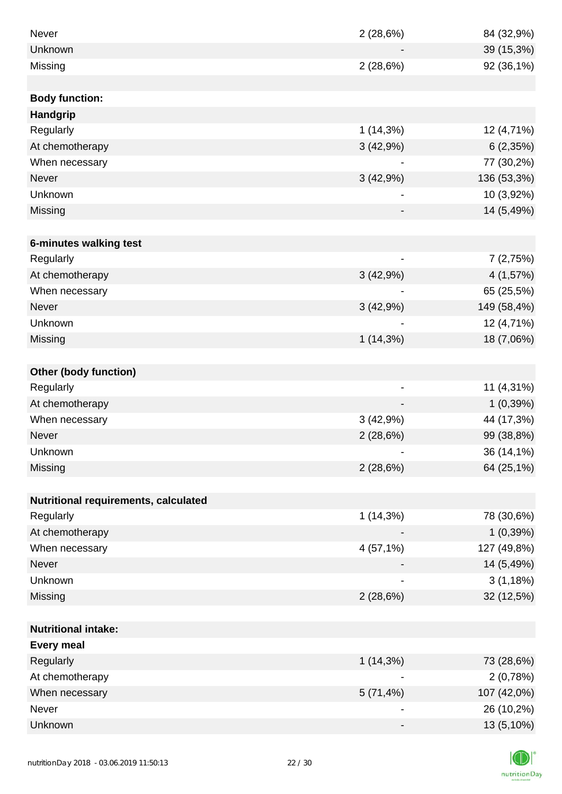| Never                                | 2(28,6%)                 | 84 (32,9%)  |
|--------------------------------------|--------------------------|-------------|
| Unknown                              |                          | 39 (15,3%)  |
| Missing                              | 2(28,6%)                 | 92 (36,1%)  |
|                                      |                          |             |
| <b>Body function:</b>                |                          |             |
| <b>Handgrip</b>                      |                          |             |
| Regularly                            | $1(14,3\%)$              | 12 (4,71%)  |
| At chemotherapy                      | 3(42,9%)                 | 6(2,35%)    |
| When necessary                       |                          | 77 (30,2%)  |
| <b>Never</b>                         | 3(42,9%)                 | 136 (53,3%) |
| Unknown                              |                          | 10 (3,92%)  |
| Missing                              |                          | 14 (5,49%)  |
|                                      |                          |             |
| 6-minutes walking test               |                          |             |
| Regularly                            |                          | 7(2,75%)    |
| At chemotherapy                      | 3(42,9%)                 | 4(1,57%)    |
| When necessary                       |                          | 65 (25,5%)  |
| Never                                | 3(42,9%)                 | 149 (58,4%) |
| Unknown                              |                          | 12 (4,71%)  |
| Missing                              | $1(14,3\%)$              | 18 (7,06%)  |
|                                      |                          |             |
| <b>Other (body function)</b>         |                          |             |
| Regularly                            | $\overline{\phantom{a}}$ | 11 (4,31%)  |
| At chemotherapy                      |                          | 1(0,39%)    |
| When necessary                       | 3(42,9%)                 | 44 (17,3%)  |
| Never                                | 2(28,6%)                 | 99 (38,8%)  |
| Unknown                              |                          | 36 (14,1%)  |
| Missing                              | 2(28,6%)                 | 64 (25,1%)  |
|                                      |                          |             |
| Nutritional requirements, calculated |                          |             |
| Regularly                            | 1(14,3%)                 | 78 (30,6%)  |
| At chemotherapy                      |                          | 1(0,39%)    |
| When necessary                       | 4 (57,1%)                | 127 (49,8%) |
| Never                                |                          | 14 (5,49%)  |
| Unknown                              |                          | 3(1,18%)    |
| Missing                              | 2(28,6%)                 | 32 (12,5%)  |
|                                      |                          |             |
| <b>Nutritional intake:</b>           |                          |             |
| <b>Every meal</b>                    |                          |             |
| Regularly                            | $1(14,3\%)$              | 73 (28,6%)  |
| At chemotherapy                      |                          | 2(0,78%)    |
| When necessary                       | 5(71,4%)                 | 107 (42,0%) |
| Never                                | $\overline{\phantom{0}}$ | 26 (10,2%)  |
| Unknown                              |                          | 13 (5,10%)  |

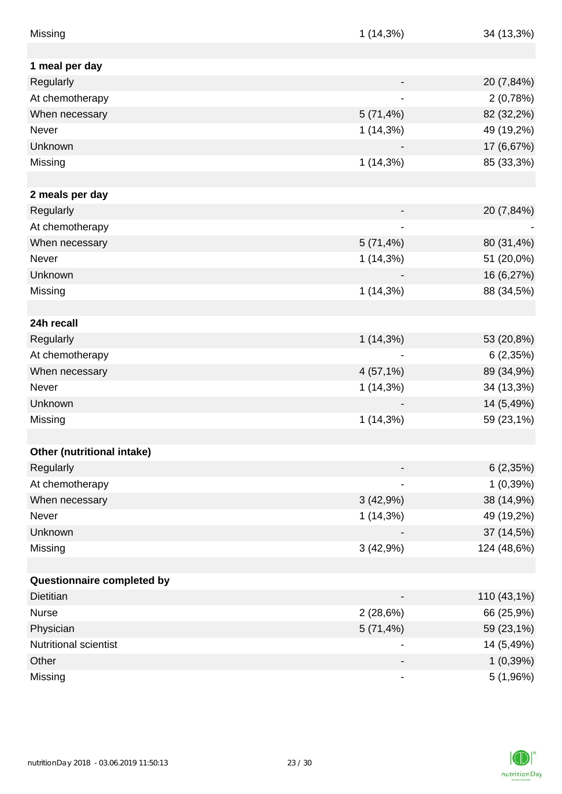| Missing                      | 1(14,3%)                 | 34 (13,3%)  |
|------------------------------|--------------------------|-------------|
|                              |                          |             |
| 1 meal per day               |                          |             |
| Regularly                    |                          | 20 (7,84%)  |
| At chemotherapy              |                          | 2(0,78%)    |
| When necessary               | 5(71,4%)                 | 82 (32,2%)  |
| Never                        | 1(14,3%)                 | 49 (19,2%)  |
| Unknown                      |                          | 17 (6,67%)  |
| Missing                      | 1(14,3%)                 | 85 (33,3%)  |
| 2 meals per day              |                          |             |
| Regularly                    |                          | 20 (7,84%)  |
| At chemotherapy              | ۰                        |             |
| When necessary               | 5(71,4%)                 | 80 (31,4%)  |
| Never                        | $1(14,3\%)$              | 51 (20,0%)  |
| Unknown                      |                          | 16 (6,27%)  |
| Missing                      | 1(14,3%)                 | 88 (34,5%)  |
|                              |                          |             |
| 24h recall                   |                          |             |
| Regularly                    | $1(14,3\%)$              | 53 (20,8%)  |
| At chemotherapy              |                          | 6(2,35%)    |
| When necessary               | 4(57,1%)                 | 89 (34,9%)  |
| Never                        | 1(14,3%)                 | 34 (13,3%)  |
| Unknown                      |                          | 14 (5,49%)  |
| Missing                      | $1(14,3\%)$              | 59 (23,1%)  |
|                              |                          |             |
| Other (nutritional intake)   |                          |             |
| Regularly                    |                          | 6(2,35%)    |
| At chemotherapy              |                          | 1(0,39%)    |
| When necessary               | 3(42,9%)                 | 38 (14,9%)  |
| Never                        | $1(14,3\%)$              | 49 (19,2%)  |
| Unknown                      |                          | 37 (14,5%)  |
| Missing                      | 3(42,9%)                 | 124 (48,6%) |
|                              |                          |             |
| Questionnaire completed by   |                          |             |
| Dietitian                    |                          | 110 (43,1%) |
| <b>Nurse</b>                 | 2(28,6%)                 | 66 (25,9%)  |
| Physician                    | 5(71,4%)                 | 59 (23,1%)  |
| <b>Nutritional scientist</b> |                          | 14 (5,49%)  |
| Other                        |                          | 1(0,39%)    |
| Missing                      | $\overline{\phantom{0}}$ | 5 (1,96%)   |

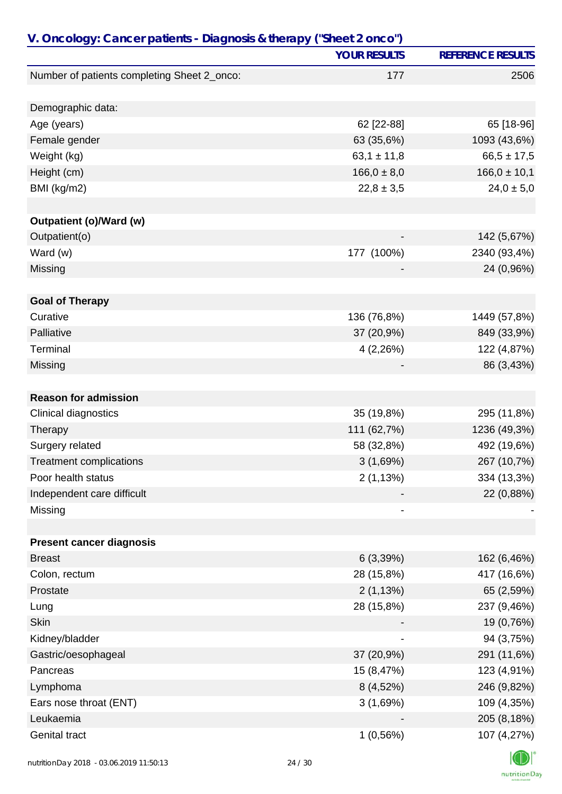| V. Oncology: Cancer patients - Diagnosis & therapy ("Sheet 2 onco") |                     |                          |
|---------------------------------------------------------------------|---------------------|--------------------------|
|                                                                     | <b>YOUR RESULTS</b> | <b>REFERENCE RESULTS</b> |
| Number of patients completing Sheet 2_onco:                         | 177                 | 2506                     |
| Demographic data:                                                   |                     |                          |
| Age (years)                                                         | 62 [22-88]          | 65 [18-96]               |
| Female gender                                                       | 63 (35,6%)          | 1093 (43,6%)             |
| Weight (kg)                                                         | $63,1 \pm 11,8$     | $66,5 \pm 17,5$          |
| Height (cm)                                                         | $166,0 \pm 8,0$     | $166,0 \pm 10,1$         |
| BMI (kg/m2)                                                         | $22,8 \pm 3,5$      | $24,0 \pm 5,0$           |
|                                                                     |                     |                          |
| Outpatient (o)/Ward (w)                                             |                     |                          |
| Outpatient(o)                                                       |                     | 142 (5,67%)              |
| Ward (w)                                                            | 177 (100%)          | 2340 (93,4%)             |
| Missing                                                             |                     | 24 (0,96%)               |
|                                                                     |                     |                          |
| <b>Goal of Therapy</b><br>Curative                                  |                     |                          |
| Palliative                                                          | 136 (76,8%)         | 1449 (57,8%)             |
|                                                                     | 37 (20,9%)          | 849 (33,9%)              |
| Terminal                                                            | 4(2,26%)            | 122 (4,87%)              |
| Missing                                                             |                     | 86 (3,43%)               |
| <b>Reason for admission</b>                                         |                     |                          |
| Clinical diagnostics                                                | 35 (19,8%)          | 295 (11,8%)              |
| Therapy                                                             | 111 (62,7%)         | 1236 (49,3%)             |
| Surgery related                                                     | 58 (32,8%)          | 492 (19,6%)              |
| <b>Treatment complications</b>                                      | 3(1,69%)            | 267 (10,7%)              |
| Poor health status                                                  | 2(1,13%)            | 334 (13,3%)              |
| Independent care difficult                                          |                     | 22 (0,88%)               |
| Missing                                                             |                     |                          |
|                                                                     |                     |                          |
| <b>Present cancer diagnosis</b>                                     |                     |                          |
| <b>Breast</b>                                                       | 6(3,39%)            | 162 (6,46%)              |
| Colon, rectum                                                       | 28 (15,8%)          | 417 (16,6%)              |
| Prostate                                                            | 2(1,13%)            | 65 (2,59%)               |
| Lung                                                                | 28 (15,8%)          | 237 (9,46%)              |
| Skin                                                                |                     | 19 (0,76%)               |
| Kidney/bladder                                                      |                     | 94 (3,75%)               |
| Gastric/oesophageal                                                 | 37 (20,9%)          | 291 (11,6%)              |
| Pancreas                                                            | 15 (8,47%)          | 123 (4,91%)              |
| Lymphoma                                                            | 8 (4,52%)           | 246 (9,82%)              |
| Ears nose throat (ENT)                                              | 3(1,69%)            | 109 (4,35%)              |
| Leukaemia                                                           |                     | 205 (8,18%)              |
| <b>Genital tract</b>                                                | 1(0,56%)            | 107 (4,27%)              |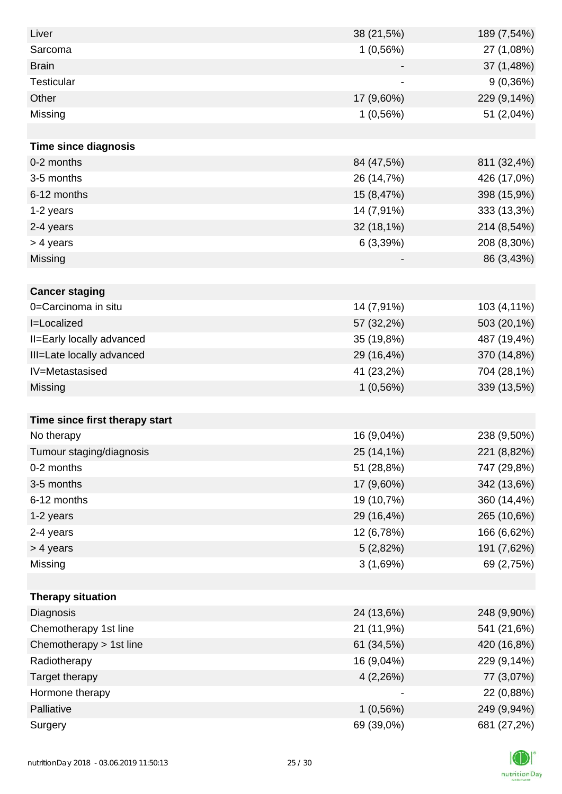| Liver                          | 38 (21,5%) | 189 (7,54%) |
|--------------------------------|------------|-------------|
| Sarcoma                        | 1(0,56%)   | 27 (1,08%)  |
| <b>Brain</b>                   |            | 37 (1,48%)  |
| <b>Testicular</b>              |            | 9(0,36%)    |
| Other                          | 17 (9,60%) | 229 (9,14%) |
| Missing                        | 1(0,56%)   | 51 (2,04%)  |
|                                |            |             |
| <b>Time since diagnosis</b>    |            |             |
| 0-2 months                     | 84 (47,5%) | 811 (32,4%) |
| 3-5 months                     | 26 (14,7%) | 426 (17,0%) |
| 6-12 months                    | 15 (8,47%) | 398 (15,9%) |
| 1-2 years                      | 14 (7,91%) | 333 (13,3%) |
| 2-4 years                      | 32 (18,1%) | 214 (8,54%) |
| > 4 years                      | 6(3,39%)   | 208 (8,30%) |
| Missing                        |            | 86 (3,43%)  |
|                                |            |             |
| <b>Cancer staging</b>          |            |             |
| 0=Carcinoma in situ            | 14 (7,91%) | 103 (4,11%) |
| I=Localized                    | 57 (32,2%) | 503 (20,1%) |
| II=Early locally advanced      | 35 (19,8%) | 487 (19,4%) |
| III=Late locally advanced      | 29 (16,4%) | 370 (14,8%) |
| IV=Metastasised                | 41 (23,2%) | 704 (28,1%) |
| Missing                        | 1(0,56%)   | 339 (13,5%) |
|                                |            |             |
| Time since first therapy start |            |             |
| No therapy                     | 16 (9,04%) | 238 (9,50%) |
| Tumour staging/diagnosis       | 25 (14,1%) | 221 (8,82%) |
| 0-2 months                     | 51 (28,8%) | 747 (29,8%) |
| 3-5 months                     | 17 (9,60%) | 342 (13,6%) |
| 6-12 months                    | 19 (10,7%) | 360 (14,4%) |
| 1-2 years                      | 29 (16,4%) | 265 (10,6%) |
| 2-4 years                      | 12 (6,78%) | 166 (6,62%) |
| > 4 years                      | 5(2,82%)   | 191 (7,62%) |
| Missing                        | 3(1,69%)   | 69 (2,75%)  |
|                                |            |             |
| <b>Therapy situation</b>       |            |             |
| Diagnosis                      | 24 (13,6%) | 248 (9,90%) |
| Chemotherapy 1st line          | 21 (11,9%) | 541 (21,6%) |
| Chemotherapy > 1st line        | 61 (34,5%) | 420 (16,8%) |
| Radiotherapy                   | 16 (9,04%) | 229 (9,14%) |
| Target therapy                 | 4(2,26%)   | 77 (3,07%)  |
| Hormone therapy                |            | 22 (0,88%)  |
| Palliative                     | 1(0,56%)   | 249 (9,94%) |
| Surgery                        | 69 (39,0%) | 681 (27,2%) |

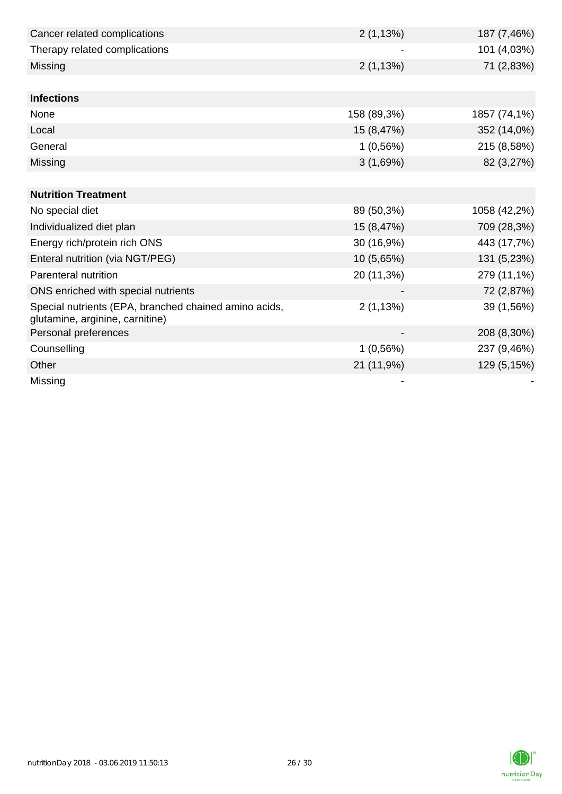| Cancer related complications                                                             | 2(1,13%)    | 187 (7,46%)  |
|------------------------------------------------------------------------------------------|-------------|--------------|
| Therapy related complications                                                            |             | 101 (4,03%)  |
| Missing                                                                                  | 2(1,13%)    | 71 (2,83%)   |
|                                                                                          |             |              |
| <b>Infections</b>                                                                        |             |              |
| None                                                                                     | 158 (89,3%) | 1857 (74,1%) |
| Local                                                                                    | 15 (8,47%)  | 352 (14,0%)  |
| General                                                                                  | 1(0,56%)    | 215 (8,58%)  |
| Missing                                                                                  | 3(1,69%)    | 82 (3,27%)   |
|                                                                                          |             |              |
| <b>Nutrition Treatment</b>                                                               |             |              |
| No special diet                                                                          | 89 (50,3%)  | 1058 (42,2%) |
| Individualized diet plan                                                                 | 15 (8,47%)  | 709 (28,3%)  |
| Energy rich/protein rich ONS                                                             | 30 (16,9%)  | 443 (17,7%)  |
| Enteral nutrition (via NGT/PEG)                                                          | 10 (5,65%)  | 131 (5,23%)  |
| Parenteral nutrition                                                                     | 20 (11,3%)  | 279 (11,1%)  |
| ONS enriched with special nutrients                                                      |             | 72 (2,87%)   |
| Special nutrients (EPA, branched chained amino acids,<br>glutamine, arginine, carnitine) | 2(1,13%)    | 39 (1,56%)   |
| Personal preferences                                                                     |             | 208 (8,30%)  |
| Counselling                                                                              | 1(0,56%)    | 237 (9,46%)  |
| Other                                                                                    | 21 (11,9%)  | 129 (5,15%)  |
| Missing                                                                                  |             |              |

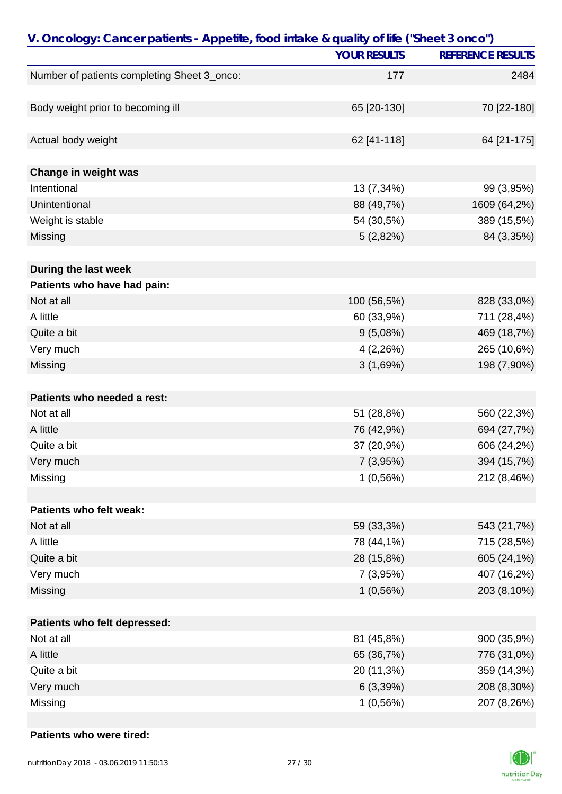| V. Oncology: Cancer patients - Appetite, food intake & quality of life ("Sheet 3 onco") |                     |                          |
|-----------------------------------------------------------------------------------------|---------------------|--------------------------|
|                                                                                         | <b>YOUR RESULTS</b> | <b>REFERENCE RESULTS</b> |
| Number of patients completing Sheet 3_onco:                                             | 177                 | 2484                     |
|                                                                                         |                     |                          |
| Body weight prior to becoming ill                                                       | 65 [20-130]         | 70 [22-180]              |
|                                                                                         |                     |                          |
| Actual body weight                                                                      | 62 [41-118]         | 64 [21-175]              |
|                                                                                         |                     |                          |
| Change in weight was                                                                    |                     |                          |
| Intentional                                                                             | 13 (7,34%)          | 99 (3,95%)               |
| Unintentional                                                                           | 88 (49,7%)          | 1609 (64,2%)             |
| Weight is stable                                                                        | 54 (30,5%)          | 389 (15,5%)              |
| Missing                                                                                 | 5(2,82%)            | 84 (3,35%)               |
|                                                                                         |                     |                          |
| During the last week                                                                    |                     |                          |
| Patients who have had pain:                                                             |                     |                          |
| Not at all                                                                              | 100 (56,5%)         | 828 (33,0%)              |
| A little                                                                                | 60 (33,9%)          | 711 (28,4%)              |
| Quite a bit                                                                             | 9(5,08%)            | 469 (18,7%)              |
| Very much                                                                               | 4(2,26%)            | 265 (10,6%)              |
| Missing                                                                                 | 3(1,69%)            | 198 (7,90%)              |
|                                                                                         |                     |                          |
| Patients who needed a rest:                                                             |                     |                          |
| Not at all                                                                              | 51 (28,8%)          | 560 (22,3%)              |
| A little                                                                                | 76 (42,9%)          | 694 (27,7%)              |
| Quite a bit                                                                             | 37 (20,9%)          | 606 (24,2%)              |
| Very much                                                                               | 7(3,95%)            | 394 (15,7%)              |
| Missing                                                                                 | 1(0,56%)            | 212 (8,46%)              |
|                                                                                         |                     |                          |
| Patients who felt weak:                                                                 |                     |                          |
| Not at all                                                                              | 59 (33,3%)          | 543 (21,7%)              |
| A little                                                                                | 78 (44,1%)          | 715 (28,5%)              |
| Quite a bit                                                                             | 28 (15,8%)          | 605 (24,1%)              |
| Very much                                                                               | 7(3,95%)            | 407 (16,2%)              |
| Missing                                                                                 | 1(0,56%)            | 203 (8,10%)              |
|                                                                                         |                     |                          |
| Patients who felt depressed:                                                            |                     |                          |
| Not at all                                                                              | 81 (45,8%)          | 900 (35,9%)              |
| A little                                                                                | 65 (36,7%)          | 776 (31,0%)              |
| Quite a bit                                                                             | 20 (11,3%)          | 359 (14,3%)              |
| Very much                                                                               | 6(3,39%)            | 208 (8,30%)              |
| Missing                                                                                 | 1(0,56%)            | 207 (8,26%)              |

#### **Patients who were tired:**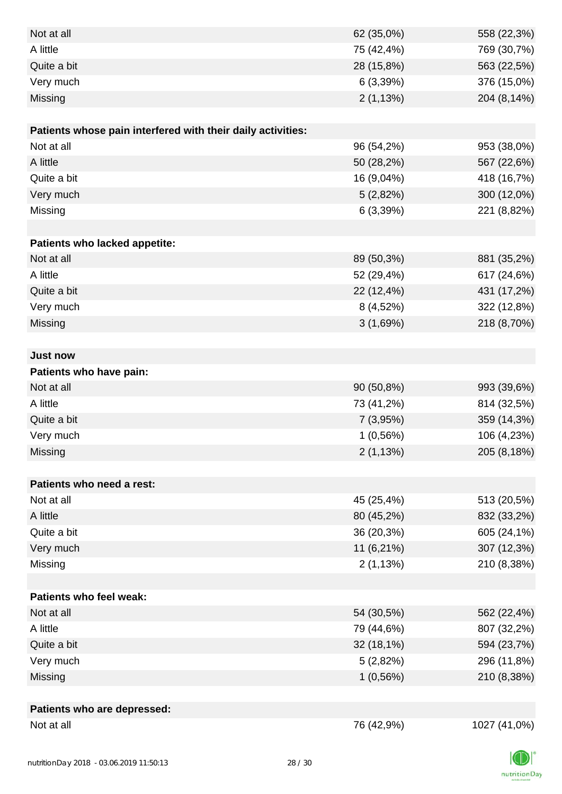| Not at all                                                  | 62 (35,0%) | 558 (22,3%)  |
|-------------------------------------------------------------|------------|--------------|
| A little                                                    | 75 (42,4%) | 769 (30,7%)  |
| Quite a bit                                                 | 28 (15,8%) | 563 (22,5%)  |
| Very much                                                   | 6(3,39%)   | 376 (15,0%)  |
| Missing                                                     | 2(1,13%)   | 204 (8,14%)  |
|                                                             |            |              |
| Patients whose pain interfered with their daily activities: |            |              |
| Not at all                                                  | 96 (54,2%) | 953 (38,0%)  |
| A little                                                    | 50 (28,2%) | 567 (22,6%)  |
| Quite a bit                                                 | 16 (9,04%) | 418 (16,7%)  |
| Very much                                                   | 5(2,82%)   | 300 (12,0%)  |
| Missing                                                     | 6(3,39%)   | 221 (8,82%)  |
|                                                             |            |              |
| <b>Patients who lacked appetite:</b>                        |            |              |
| Not at all                                                  | 89 (50,3%) | 881 (35,2%)  |
| A little                                                    | 52 (29,4%) | 617 (24,6%)  |
| Quite a bit                                                 | 22 (12,4%) | 431 (17,2%)  |
| Very much                                                   | 8 (4,52%)  | 322 (12,8%)  |
| Missing                                                     | 3(1,69%)   | 218 (8,70%)  |
|                                                             |            |              |
| <b>Just now</b>                                             |            |              |
| Patients who have pain:                                     |            |              |
| Not at all                                                  | 90 (50,8%) | 993 (39,6%)  |
| A little                                                    | 73 (41,2%) | 814 (32,5%)  |
| Quite a bit                                                 | 7 (3,95%)  | 359 (14,3%)  |
| Very much                                                   | 1(0,56%)   | 106 (4,23%)  |
| Missing                                                     | 2(1,13%)   | 205 (8,18%)  |
|                                                             |            |              |
| Patients who need a rest:                                   |            |              |
| Not at all                                                  | 45 (25,4%) | 513 (20,5%)  |
| A little                                                    | 80 (45,2%) | 832 (33,2%)  |
| Quite a bit                                                 | 36 (20,3%) | 605 (24,1%)  |
| Very much                                                   | 11 (6,21%) | 307 (12,3%)  |
| Missing                                                     | 2(1,13%)   | 210 (8,38%)  |
|                                                             |            |              |
| <b>Patients who feel weak:</b>                              |            |              |
| Not at all                                                  | 54 (30,5%) | 562 (22,4%)  |
| A little                                                    | 79 (44,6%) | 807 (32,2%)  |
| Quite a bit                                                 | 32 (18,1%) | 594 (23,7%)  |
| Very much                                                   | 5(2,82%)   | 296 (11,8%)  |
| Missing                                                     | 1(0,56%)   | 210 (8,38%)  |
|                                                             |            |              |
| Patients who are depressed:                                 |            |              |
| Not at all                                                  | 76 (42,9%) | 1027 (41,0%) |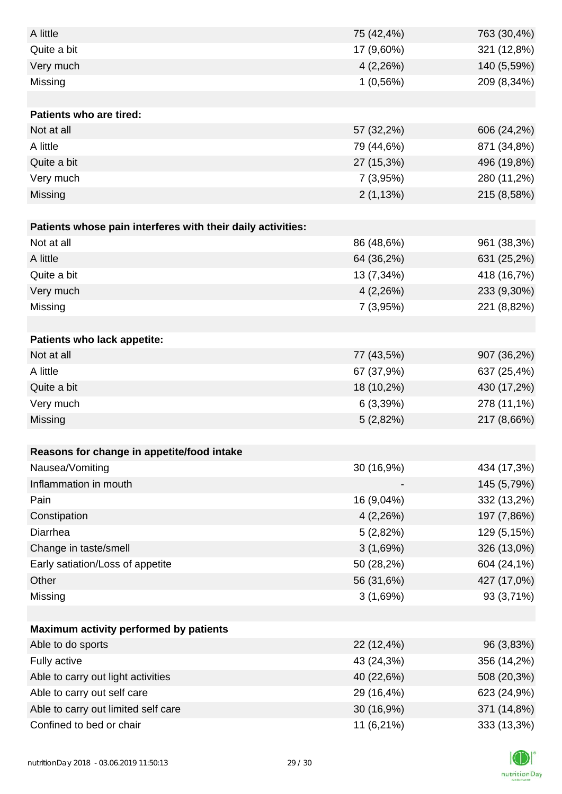| A little                                                    | 75 (42,4%) | 763 (30,4%) |
|-------------------------------------------------------------|------------|-------------|
| Quite a bit                                                 | 17 (9,60%) | 321 (12,8%) |
| Very much                                                   | 4(2,26%)   | 140 (5,59%) |
| Missing                                                     | 1(0,56%)   | 209 (8,34%) |
|                                                             |            |             |
| Patients who are tired:                                     |            |             |
| Not at all                                                  | 57 (32,2%) | 606 (24,2%) |
| A little                                                    | 79 (44,6%) | 871 (34,8%) |
| Quite a bit                                                 | 27 (15,3%) | 496 (19,8%) |
| Very much                                                   | 7(3,95%)   | 280 (11,2%) |
| Missing                                                     | 2(1,13%)   | 215 (8,58%) |
|                                                             |            |             |
| Patients whose pain interferes with their daily activities: |            |             |
| Not at all                                                  | 86 (48,6%) | 961 (38,3%) |
| A little                                                    | 64 (36,2%) | 631 (25,2%) |
| Quite a bit                                                 | 13 (7,34%) | 418 (16,7%) |
| Very much                                                   | 4(2,26%)   | 233 (9,30%) |
| Missing                                                     | 7 (3,95%)  | 221 (8,82%) |
|                                                             |            |             |
| Patients who lack appetite:                                 |            |             |
| Not at all                                                  | 77 (43,5%) | 907 (36,2%) |
| A little                                                    | 67 (37,9%) | 637 (25,4%) |
| Quite a bit                                                 | 18 (10,2%) | 430 (17,2%) |
| Very much                                                   | 6(3,39%)   | 278 (11,1%) |
| Missing                                                     | 5(2,82%)   | 217 (8,66%) |
|                                                             |            |             |
| Reasons for change in appetite/food intake                  |            |             |
| Nausea/Vomiting                                             | 30 (16,9%) | 434 (17,3%) |
| Inflammation in mouth                                       |            | 145 (5,79%) |
| Pain                                                        | 16 (9,04%) | 332 (13,2%) |
| Constipation                                                | 4(2,26%)   | 197 (7,86%) |
| Diarrhea                                                    | 5(2,82%)   | 129 (5,15%) |
| Change in taste/smell                                       | 3(1,69%)   | 326 (13,0%) |
| Early satiation/Loss of appetite                            | 50 (28,2%) | 604 (24,1%) |
| Other                                                       | 56 (31,6%) | 427 (17,0%) |
| Missing                                                     | 3(1,69%)   | 93 (3,71%)  |
|                                                             |            |             |
| Maximum activity performed by patients                      |            |             |
| Able to do sports                                           | 22 (12,4%) | 96 (3,83%)  |
| Fully active                                                | 43 (24,3%) | 356 (14,2%) |
| Able to carry out light activities                          | 40 (22,6%) | 508 (20,3%) |
| Able to carry out self care                                 | 29 (16,4%) | 623 (24,9%) |
| Able to carry out limited self care                         | 30 (16,9%) | 371 (14,8%) |
| Confined to bed or chair                                    | 11 (6,21%) | 333 (13,3%) |